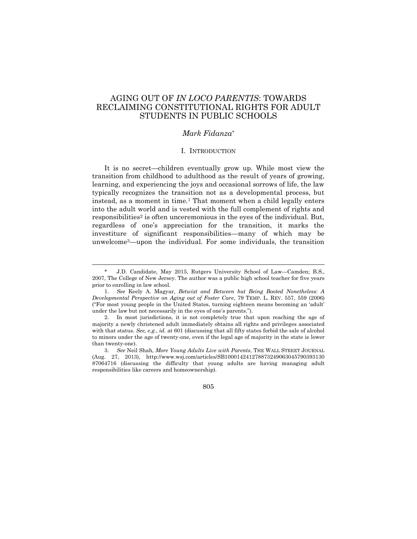# AGING OUT OF *IN LOCO PARENTIS*: TOWARDS RECLAIMING CONSTITUTIONAL RIGHTS FOR ADULT STUDENTS IN PUBLIC SCHOOLS

# *Mark Fidanza*\*

### I. INTRODUCTION

It is no secret—children eventually grow up. While most view the transition from childhood to adulthood as the result of years of growing, learning, and experiencing the joys and occasional sorrows of life, the law typically recognizes the transition not as a developmental process, but instead, as a moment in time.<sup>1</sup> That moment when a child legally enters into the adult world and is vested with the full complement of rights and responsibilities<sup>2</sup> is often unceremonious in the eyes of the individual. But, regardless of one's appreciation for the transition, it marks the investiture of significant responsibilities—many of which may be unwelcome3—upon the individual. For some individuals, the transition

 $\overline{a}$ 

<sup>\*</sup> J.D. Candidate, May 2015, Rutgers University School of Law—Camden; B.S., 2007, The College of New Jersey. The author was a public high school teacher for five years prior to enrolling in law school.

<sup>1.</sup> *See* Keely A. Magyar, *Betwixt and Between but Being Booted Nonetheless: A Developmental Perspective on Aging out of Foster Care*, 79 TEMP. L. REV. 557, 559 (2006) ("For most young people in the United States, turning eighteen means becoming an 'adult' under the law but not necessarily in the eyes of one's parents.").

<sup>2.</sup> In most jurisdictions, it is not completely true that upon reaching the age of majority a newly christened adult immediately obtains all rights and privileges associated with that status. *See, e.g.*, *id.* at 601 (discussing that all fifty states forbid the sale of alcohol to minors under the age of twenty-one, even if the legal age of majority in the state is lower than twenty-one).

<sup>3.</sup> *See* Neil Shah, *More Young Adults Live with Parents*, THE WALL STREET JOURNAL (Aug. 27, 2013), http://www.wsj.com/articles/SB100014241278873249063045790393130 87064716 (discussing the difficulty that young adults are having managing adult responsibilities like careers and homeownership).

<sup>805</sup>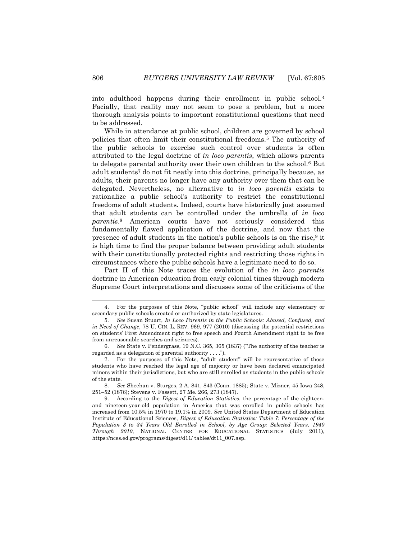into adulthood happens during their enrollment in public school.<sup>4</sup> Facially, that reality may not seem to pose a problem, but a more thorough analysis points to important constitutional questions that need to be addressed.

While in attendance at public school, children are governed by school policies that often limit their constitutional freedoms.<sup>5</sup> The authority of the public schools to exercise such control over students is often attributed to the legal doctrine of *in loco parentis*, which allows parents to delegate parental authority over their own children to the school.<sup>6</sup> But adult students<sup>7</sup> do not fit neatly into this doctrine, principally because, as adults, their parents no longer have any authority over them that can be delegated. Nevertheless, no alternative to *in loco parentis* exists to rationalize a public school's authority to restrict the constitutional freedoms of adult students. Indeed, courts have historically just assumed that adult students can be controlled under the umbrella of *in loco parentis*. <sup>8</sup> American courts have not seriously considered this fundamentally flawed application of the doctrine, and now that the presence of adult students in the nation's public schools is on the rise,<sup>9</sup> it is high time to find the proper balance between providing adult students with their constitutionally protected rights and restricting those rights in circumstances where the public schools have a legitimate need to do so.

Part II of this Note traces the evolution of the *in loco parentis* doctrine in American education from early colonial times through modern Supreme Court interpretations and discusses some of the criticisms of the

<sup>4.</sup> For the purposes of this Note, "public school" will include any elementary or secondary public schools created or authorized by state legislatures.

<sup>5.</sup> *See* Susan Stuart, *In Loco Parentis in the Public Schools: Abused, Confused, and in Need of Change*, 78 U. CIN. L. REV. 969, 977 (2010) (discussing the potential restrictions on students' First Amendment right to free speech and Fourth Amendment right to be free from unreasonable searches and seizures).

<sup>6.</sup> *See* State v. Pendergrass, 19 N.C. 365, 365 (1837) ("The authority of the teacher is regarded as a delegation of parental authority . . . .").

<sup>7.</sup> For the purposes of this Note, "adult student" will be representative of those students who have reached the legal age of majority or have been declared emancipated minors within their jurisdictions, but who are still enrolled as students in the public schools of the state.

<sup>8.</sup> *See* Sheehan v. Sturges, 2 A. 841, 843 (Conn. 1885); State v. Mizner, 45 Iowa 248, 251–52 (1876); Stevens v. Fassett, 27 Me. 266, 273 (1847).

<sup>9.</sup> According to the *Digest of Education Statistics*, the percentage of the eighteenand nineteen-year-old population in America that was enrolled in public schools has increased from 10.5% in 1970 to 19.1% in 2009. *See* United States Department of Education Institute of Educational Sciences, *Digest of Education Statistics: Table 7: Percentage of the Population 3 to 34 Years Old Enrolled in School, by Age Group: Selected Years, 1940 Through 2010*, NATIONAL CENTER FOR EDUCATIONAL STATISTICS (July 2011), https://nces.ed.gov/programs/digest/d11/ tables/dt11\_007.asp.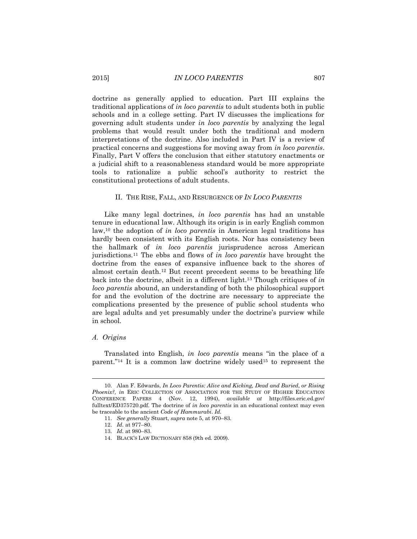doctrine as generally applied to education. Part III explains the traditional applications of *in loco parentis* to adult students both in public schools and in a college setting. Part IV discusses the implications for governing adult students under *in loco parentis* by analyzing the legal problems that would result under both the traditional and modern interpretations of the doctrine. Also included in Part IV is a review of practical concerns and suggestions for moving away from *in loco parentis*. Finally, Part V offers the conclusion that either statutory enactments or a judicial shift to a reasonableness standard would be more appropriate tools to rationalize a public school's authority to restrict the constitutional protections of adult students.

#### II. THE RISE, FALL, AND RESURGENCE OF *IN LOCO PARENTIS*

Like many legal doctrines, *in loco parentis* has had an unstable tenure in educational law. Although its origin is in early English common law,<sup>10</sup> the adoption of *in loco parentis* in American legal traditions has hardly been consistent with its English roots. Nor has consistency been the hallmark of *in loco parentis* jurisprudence across American jurisdictions.<sup>11</sup> The ebbs and flows of *in loco parentis* have brought the doctrine from the eases of expansive influence back to the shores of almost certain death.<sup>12</sup> But recent precedent seems to be breathing life back into the doctrine, albeit in a different light.<sup>13</sup> Though critiques of *in loco parentis* abound, an understanding of both the philosophical support for and the evolution of the doctrine are necessary to appreciate the complications presented by the presence of public school students who are legal adults and yet presumably under the doctrine's purview while in school.

#### *A. Origins*

l

Translated into English, *in loco parentis* means "in the place of a parent."<sup>14</sup> It is a common law doctrine widely used<sup>15</sup> to represent the

<sup>10.</sup> Alan F. Edwards, *In Loco Parentis: Alive and Kicking, Dead and Buried, or Rising Phoenix?, in* ERIC COLLECTION OF ASSOCIATION FOR THE STUDY OF HIGHER EDUCATION CONFERENCE PAPERS 4 (Nov. 12, 1994), *available at* http://files.eric.ed.gov/ fulltext/ED375720.pdf. The doctrine of *in loco parentis* in an educational context may even be traceable to the ancient *Code of Hammurabi*. *Id.*

<sup>11.</sup> *See generally* Stuart, *supra* note 5, at 970–83.

<sup>12.</sup> *Id.* at 977–80.

<sup>13.</sup> *Id.* at 980–83.

<sup>14.</sup> BLACK'S LAW DICTIONARY 858 (9th ed. 2009).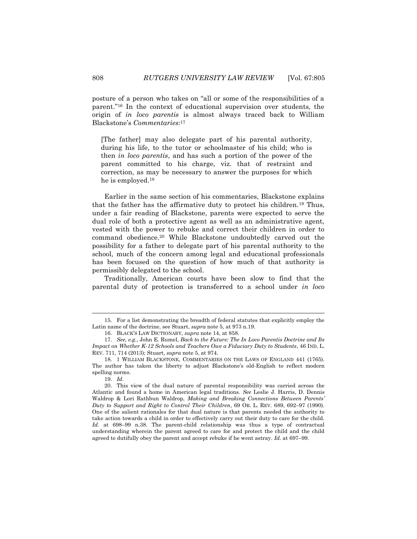posture of a person who takes on "all or some of the responsibilities of a parent."<sup>16</sup> In the context of educational supervision over students, the origin of *in loco parentis* is almost always traced back to William Blackstone's *Commentaries*: 17

[The father] may also delegate part of his parental authority, during his life, to the tutor or schoolmaster of his child; who is then *in loco parentis*, and has such a portion of the power of the parent committed to his charge, viz. that of restraint and correction, as may be necessary to answer the purposes for which he is employed.<sup>18</sup>

Earlier in the same section of his commentaries, Blackstone explains that the father has the affirmative duty to protect his children.<sup>19</sup> Thus, under a fair reading of Blackstone, parents were expected to serve the dual role of both a protective agent as well as an administrative agent, vested with the power to rebuke and correct their children in order to command obedience.<sup>20</sup> While Blackstone undoubtedly carved out the possibility for a father to delegate part of his parental authority to the school, much of the concern among legal and educational professionals has been focused on the question of how much of that authority is permissibly delegated to the school.

Traditionally, American courts have been slow to find that the parental duty of protection is transferred to a school under *in loco* 

<sup>15.</sup> For a list demonstrating the breadth of federal statutes that explicitly employ the Latin name of the doctrine, see Stuart, *supra* note 5, at 973 n.19.

<sup>16.</sup> BLACK'S LAW DICTIONARY, *supra* note 14, at 858.

<sup>17.</sup> *See, e.g.*, John E. Rumel, *Back to the Future: The In Loco Parentis Doctrine and Its Impact on Whether K-12 Schools and Teachers Owe a Fiduciary Duty to Students*, 46 IND. L. REV. 711, 714 (2013); Stuart, *supra* note 5, at 974.

<sup>18.</sup> 1 WILLIAM BLACKSTONE, COMMENTARIES ON THE LAWS OF ENGLAND 441 (1765). The author has taken the liberty to adjust Blackstone's old-English to reflect modern spelling norms.

<sup>19.</sup> *Id.*

<sup>20.</sup> This view of the dual nature of parental responsibility was carried across the Atlantic and found a home in American legal traditions. *See* Leslie J. Harris, D. Dennis Waldrop & Lori Rathbun Waldrop, *Making and Breaking Connections Between Parents' Duty to Support and Right to Control Their Children*, 69 OR. L. REV. 689, 692–97 (1990). One of the salient rationales for that dual nature is that parents needed the authority to take action towards a child in order to effectively carry out their duty to care for the child. *Id.* at 698–99 n.38. The parent-child relationship was thus a type of contractual understanding wherein the parent agreed to care for and protect the child and the child agreed to dutifully obey the parent and accept rebuke if he went astray. *Id.* at 697–99.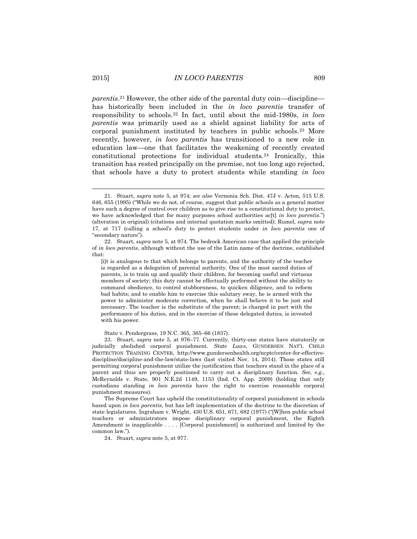*parentis*. <sup>21</sup> However, the other side of the parental duty coin—discipline has historically been included in the *in loco parentis* transfer of responsibility to schools.<sup>22</sup> In fact, until about the mid-1980s, *in loco parentis* was primarily used as a shield against liability for acts of corporal punishment instituted by teachers in public schools.<sup>23</sup> More recently, however, *in loco parentis* has transitioned to a new role in education law—one that facilitates the weakening of recently created constitutional protections for individual students.<sup>24</sup> Ironically, this transition has rested principally on the premise, not too long ago rejected, that schools have a duty to protect students while standing *in loco* 

State v. Pendergrass, 19 N.C. 365, 365–66 (1837).

The Supreme Court has upheld the constitutionality of corporal punishment in schools based upon *in loco parentis*, but has left implementation of the doctrine to the discretion of state legislatures. Ingraham v. Wright, 430 U.S. 651, 671, 682 (1977) ("[W]hen public school teachers or administrators impose disciplinary corporal punishment, the Eighth Amendment is inapplicable . . . . [Corporal punishment] is authorized and limited by the common law.").

24. Stuart, *supra* note 5, at 977.

 $\overline{a}$ 

<sup>21.</sup> Stuart, *supra* note 5, at 974; *see also* Vernonia Sch. Dist. 47J v. Acton, 515 U.S. 646, 655 (1995) ("While we do not, of course, suggest that public schools as a general matter have such a degree of control over children as to give rise to a constitutional duty to protect, we have acknowledged that for many purposes school authorities ac[t] *in loco parentis*.") (alteration in original) (citations and internal quotation marks omitted); Rumel, *supra* note 17, at 717 (calling a school's duty to protect students under *in loco parentis* one of "secondary nature").

<sup>22.</sup> Stuart, *supra* note 5, at 974*.* The bedrock American case that applied the principle of *in loco parentis*, although without the use of the Latin name of the doctrine, established that:

<sup>[</sup>i]t is analogous to that which belongs to parents, and the authority of the teacher is regarded as a delegation of parental authority. One of the most sacred duties of parents, is to train up and qualify their children, for becoming useful and virtuous members of society; this duty cannot be effectually performed without the ability to command obedience, to control stubbornness, to quicken diligence, and to reform bad habits; and to enable him to exercise this salutary sway, he is armed with the power to administer moderate correction, when he shall believe it to be just and necessary. The teacher is the substitute of the parent; is charged in part with the performance of his duties, and in the exercise of these delegated duties, is invested with his power.

<sup>23.</sup> Stuart, *supra* note 5, at 976–77. Currently, thirty-one states have statutorily or judicially abolished corporal punishment. *State Laws*, GUNDERSEN NAT'L CHILD PROTECTION TRAINING CENTER, http://www.gundersenhealth.org/ncptc/center-for-effectivediscipline/discipline-and-the-law/state-laws (last visited Nov. 14, 2014). Those states still permitting corporal punishment utilize the justification that teachers stand in the place of a parent and thus are properly positioned to carry out a disciplinary function. *See, e.g.*, McReynolds v. State, 901 N.E.2d 1149, 1153 (Ind. Ct. App. 2009) (holding that only custodians standing *in loco parentis* have the right to exercise reasonable corporal punishment measures).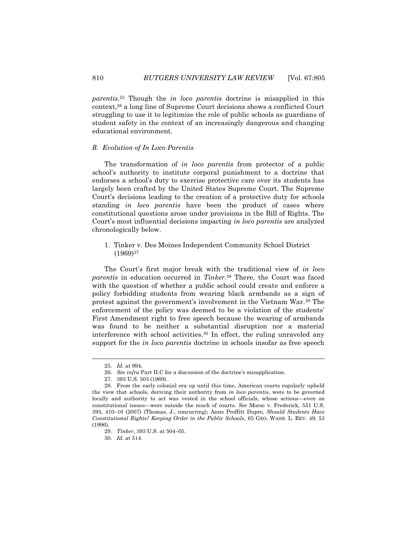*parentis*. <sup>25</sup> Though the *in loco parentis* doctrine is misapplied in this context,<sup>26</sup> a long line of Supreme Court decisions shows a conflicted Court struggling to use it to legitimize the role of public schools as guardians of student safety in the context of an increasingly dangerous and changing educational environment.

### *B. Evolution of In Loco Parentis*

The transformation of *in loco parentis* from protector of a public school's authority to institute corporal punishment to a doctrine that endorses a school's duty to exercise protective care over its students has largely been crafted by the United States Supreme Court. The Supreme Court's decisions leading to the creation of a protective duty for schools standing *in loco parentis* have been the product of cases where constitutional questions arose under provisions in the Bill of Rights. The Court's most influential decisions impacting *in loco parentis* are analyzed chronologically below.

1. Tinker v. Des Moines Independent Community School District (1969)<sup>27</sup>

The Court's first major break with the traditional view of *in loco parentis* in education occurred in *Tinker*. <sup>28</sup> There, the Court was faced with the question of whether a public school could create and enforce a policy forbidding students from wearing black armbands as a sign of protest against the government's involvement in the Vietnam War.<sup>29</sup> The enforcement of the policy was deemed to be a violation of the students' First Amendment right to free speech because the wearing of armbands was found to be neither a substantial disruption nor a material interference with school activities.<sup>30</sup> In effect, the ruling unraveled any support for the *in loco parentis* doctrine in schools insofar as free speech

 $\overline{a}$ 

30. *Id.* at 514.

<sup>25.</sup> *Id.* at 994.

<sup>26.</sup> *See infra* Part II.C for a discussion of the doctrine's misapplication.

<sup>27.</sup> 393 U.S. 503 (1969).

<sup>28.</sup> From the early colonial era up until this time, American courts regularly upheld the view that schools, deriving their authority from *in loco parentis*, were to be governed locally and authority to act was vested in the school officials, whose actions—even on constitutional issues—were outside the reach of courts. *See* Morse v. Frederick, 551 U.S. 393, 410–16 (2007) (Thomas, J., concurring); Anne Proffitt Dupre, *Should Students Have Constitutional Rights? Keeping Order in the Public Schools*, 65 GEO. WASH. L. REV. 49, 53 (1996).

<sup>29.</sup> *Tinker*, 393 U.S. at 504–05.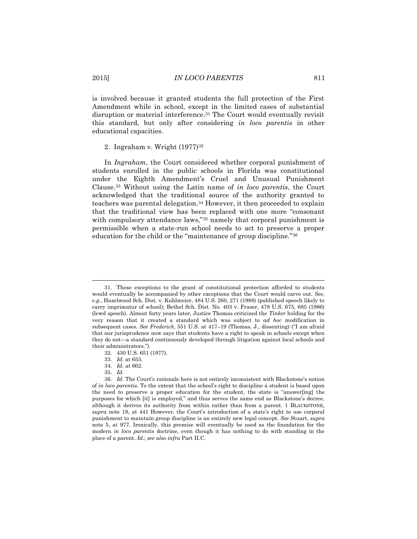is involved because it granted students the full protection of the First Amendment while in school, except in the limited cases of substantial disruption or material interference.<sup>31</sup> The Court would eventually revisit this standard, but only after considering *in loco parentis* in other educational capacities.

# 2. Ingraham v. Wright (1977)<sup>32</sup>

In *Ingraham*, the Court considered whether corporal punishment of students enrolled in the public schools in Florida was constitutional under the Eighth Amendment's Cruel and Unusual Punishment Clause.<sup>33</sup> Without using the Latin name of *in loco parentis*, the Court acknowledged that the traditional source of the authority granted to teachers was parental delegation.<sup>34</sup> However, it then proceeded to explain that the traditional view has been replaced with one more "consonant with compulsory attendance laws,"<sup>35</sup> namely that corporal punishment is permissible when a state-run school needs to act to preserve a proper education for the child or the "maintenance of group discipline."<sup>36</sup>

- 34. *Id.* at 662.
- 35. *Id.*

<sup>31.</sup> These exceptions to the grant of constitutional protection afforded to students would eventually be accompanied by other exceptions that the Court would carve out. *See, e.g.*, Hazelwood Sch. Dist. v. Kuhlmeier, 484 U.S. 260, 271 (1988) (published speech likely to carry imprimatur of school); Bethel Sch. Dist. No. 403 v. Fraser, 478 U.S. 675, 685 (1986) (lewd speech). Almost forty years later, Justice Thomas criticized the *Tinker* holding for the very reason that it created a standard which was subject to *ad hoc* modification in subsequent cases. *See Frederick*, 551 U.S. at 417–19 (Thomas, J., dissenting) ("I am afraid that our jurisprudence now says that students have a right to speak in schools except when they do not—a standard continuously developed through litigation against local schools and their administrators.").

<sup>32.</sup> 430 U.S. 651 (1977).

<sup>33.</sup> *Id.* at 653.

<sup>36.</sup> *Id.* The Court's rationale here is not entirely inconsistent with Blackstone's notion of *in loco parentis*. To the extent that the school's right to discipline a student is based upon the need to preserve a proper education for the student, the state is "answer[ing] the purposes for which [it] is employed," and thus serves the same end as Blackstone's decree, although it derives its authority from within rather than from a parent. 1 BLACKSTONE, *supra* note 18, at 441 However, the Court's introduction of a state's right to use corporal punishment to maintain group discipline is an entirely new legal concept. *See* Stuart, *supra* note 5, at 977. Ironically, this premise will eventually be used as the foundation for the modern *in loco parentis* doctrine, even though it has nothing to do with standing in the place of a parent. *Id.*; *see also infra* Part II.C.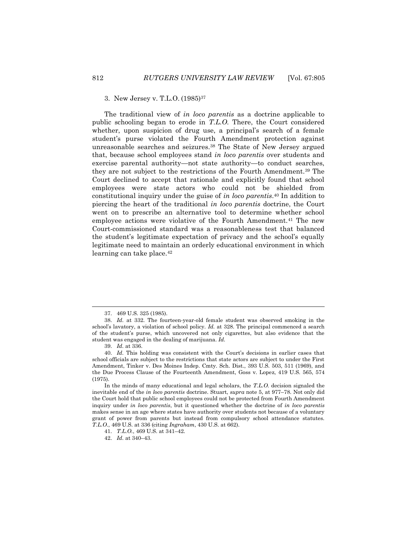### 3. New Jersey v. T.L.O. (1985)<sup>37</sup>

The traditional view of *in loco parentis* as a doctrine applicable to public schooling began to erode in *T.L.O.* There, the Court considered whether, upon suspicion of drug use, a principal's search of a female student's purse violated the Fourth Amendment protection against unreasonable searches and seizures.<sup>38</sup> The State of New Jersey argued that, because school employees stand *in loco parentis* over students and exercise parental authority—not state authority—to conduct searches, they are not subject to the restrictions of the Fourth Amendment.<sup>39</sup> The Court declined to accept that rationale and explicitly found that school employees were state actors who could not be shielded from constitutional inquiry under the guise of *in loco parentis*. <sup>40</sup> In addition to piercing the heart of the traditional *in loco parentis* doctrine, the Court went on to prescribe an alternative tool to determine whether school employee actions were violative of the Fourth Amendment.<sup>41</sup> The new Court-commissioned standard was a reasonableness test that balanced the student's legitimate expectation of privacy and the school's equally legitimate need to maintain an orderly educational environment in which learning can take place.<sup>42</sup>

<sup>37.</sup> 469 U.S. 325 (1985).

<sup>38.</sup> *Id.* at 332. The fourteen-year-old female student was observed smoking in the school's lavatory, a violation of school policy. *Id.* at 328. The principal commenced a search of the student's purse, which uncovered not only cigarettes, but also evidence that the student was engaged in the dealing of marijuana. *Id.*

<sup>39.</sup> *Id.* at 336.

<sup>40.</sup> *Id.* This holding was consistent with the Court's decisions in earlier cases that school officials are subject to the restrictions that state actors are subject to under the First Amendment, Tinker v. Des Moines Indep. Cmty. Sch. Dist., 393 U.S. 503, 511 (1969), and the Due Process Clause of the Fourteenth Amendment, Goss v. Lopez, 419 U.S. 565, 574 (1975).

In the minds of many educational and legal scholars, the *T.L.O.* decision signaled the inevitable end of the *in loco parentis* doctrine. Stuart, *supra* note 5, at 977–78. Not only did the Court hold that public school employees could not be protected from Fourth Amendment inquiry under *in loco parentis*, but it questioned whether the doctrine of *in loco parentis* makes sense in an age where states have authority over students not because of a voluntary grant of power from parents but instead from compulsory school attendance statutes. *T.L.O.*, 469 U.S. at 336 (citing *Ingraham*, 430 U.S. at 662).

<sup>41.</sup> *T.L.O.*, 469 U.S. at 341–42.

<sup>42.</sup> *Id.* at 340–43.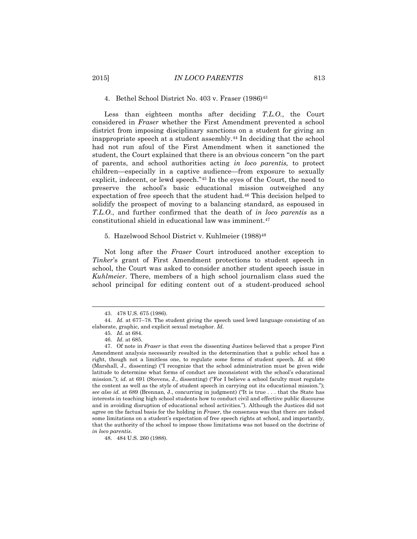#### 4. Bethel School District No. 403 v. Fraser (1986)<sup>43</sup>

Less than eighteen months after deciding *T.L.O.*, the Court considered in *Fraser* whether the First Amendment prevented a school district from imposing disciplinary sanctions on a student for giving an inappropriate speech at a student assembly.<sup>44</sup> In deciding that the school had not run afoul of the First Amendment when it sanctioned the student, the Court explained that there is an obvious concern "on the part of parents, and school authorities acting *in loco parentis,* to protect children—especially in a captive audience—from exposure to sexually explicit, indecent, or lewd speech."<sup>45</sup> In the eyes of the Court, the need to preserve the school's basic educational mission outweighed any expectation of free speech that the student had.<sup>46</sup> This decision helped to solidify the prospect of moving to a balancing standard, as espoused in *T.L.O.*, and further confirmed that the death of *in loco parentis* as a constitutional shield in educational law was imminent.<sup>47</sup>

#### 5. Hazelwood School District v. Kuhlmeier (1988)<sup>48</sup>

Not long after the *Fraser* Court introduced another exception to *Tinker*'s grant of First Amendment protections to student speech in school, the Court was asked to consider another student speech issue in *Kuhlmeier*. There, members of a high school journalism class sued the school principal for editing content out of a student-produced school

<sup>43.</sup> 478 U.S. 675 (1986).

<sup>44.</sup> *Id.* at 677–78. The student giving the speech used lewd language consisting of an elaborate, graphic, and explicit sexual metaphor. *Id.*

<sup>45.</sup> *Id.* at 684. 46. *Id.* at 685.

<sup>47.</sup> Of note in *Fraser* is that even the dissenting Justices believed that a proper First Amendment analysis necessarily resulted in the determination that a public school has a right, though not a limitless one, to regulate some forms of student speech. *Id.* at 690 (Marshall, J., dissenting) ("I recognize that the school administration must be given wide latitude to determine what forms of conduct are inconsistent with the school's educational mission."); *id.* at 691 (Stevens, J., dissenting) ("For I believe a school faculty must regulate the content as well as the style of student speech in carrying out its educational mission."); *see also id.* at 689 (Brennan, J., concurring in judgment) ("It is true . . . that the State has interests in teaching high school students how to conduct civil and effective public discourse and in avoiding disruption of educational school activities."). Although the Justices did not agree on the factual basis for the holding in *Fraser*, the consensus was that there are indeed some limitations on a student's expectation of free speech rights at school, and importantly, that the authority of the school to impose those limitations was not based on the doctrine of *in loco parentis*.

<sup>48.</sup> 484 U.S. 260 (1988).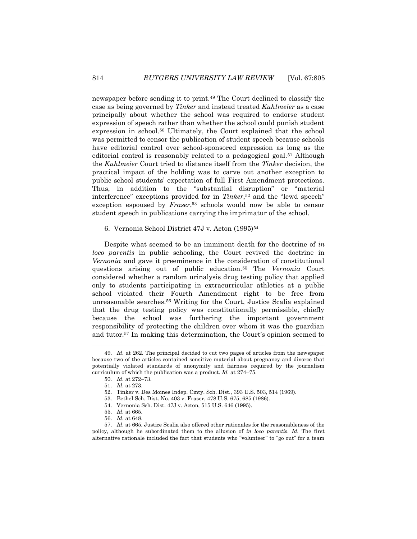newspaper before sending it to print.<sup>49</sup> The Court declined to classify the case as being governed by *Tinker* and instead treated *Kuhlmeier* as a case principally about whether the school was required to endorse student expression of speech rather than whether the school could punish student expression in school.<sup>50</sup> Ultimately, the Court explained that the school was permitted to censor the publication of student speech because schools have editorial control over school-sponsored expression as long as the editorial control is reasonably related to a pedagogical goal.<sup>51</sup> Although the *Kuhlmeier* Court tried to distance itself from the *Tinker* decision, the practical impact of the holding was to carve out another exception to public school students' expectation of full First Amendment protections. Thus, in addition to the "substantial disruption" or "material interference" exceptions provided for in *Tinker*, <sup>52</sup> and the "lewd speech" exception espoused by *Fraser*, <sup>53</sup> schools would now be able to censor student speech in publications carrying the imprimatur of the school.

### 6. Vernonia School District 47J v. Acton (1995)<sup>54</sup>

Despite what seemed to be an imminent death for the doctrine of *in loco parentis* in public schooling, the Court revived the doctrine in *Vernonia* and gave it preeminence in the consideration of constitutional questions arising out of public education.<sup>55</sup> The *Vernonia* Court considered whether a random urinalysis drug testing policy that applied only to students participating in extracurricular athletics at a public school violated their Fourth Amendment right to be free from unreasonable searches.<sup>56</sup> Writing for the Court, Justice Scalia explained that the drug testing policy was constitutionally permissible, chiefly because the school was furthering the important government responsibility of protecting the children over whom it was the guardian and tutor.<sup>57</sup> In making this determination, the Court's opinion seemed to

<sup>49.</sup> *Id.* at 262. The principal decided to cut two pages of articles from the newspaper because two of the articles contained sensitive material about pregnancy and divorce that potentially violated standards of anonymity and fairness required by the journalism curriculum of which the publication was a product. *Id.* at 274–75.

<sup>50.</sup> *Id.* at 272–73.

<sup>51.</sup> *Id.* at 273.

<sup>52.</sup> Tinker v. Des Moines Indep. Cmty. Sch. Dist., 393 U.S. 503, 514 (1969).

<sup>53.</sup> Bethel Sch. Dist. No. 403 v. Fraser, 478 U.S. 675, 685 (1986).

<sup>54.</sup> Vernonia Sch. Dist. 47J v. Acton, 515 U.S. 646 (1995).

<sup>55.</sup> *Id.* at 665.

<sup>56.</sup> *Id.* at 648.

<sup>57.</sup> *Id.* at 665. Justice Scalia also offered other rationales for the reasonableness of the policy, although he subordinated them to the allusion of *in loco parentis*. *Id.* The first alternative rationale included the fact that students who "volunteer" to "go out" for a team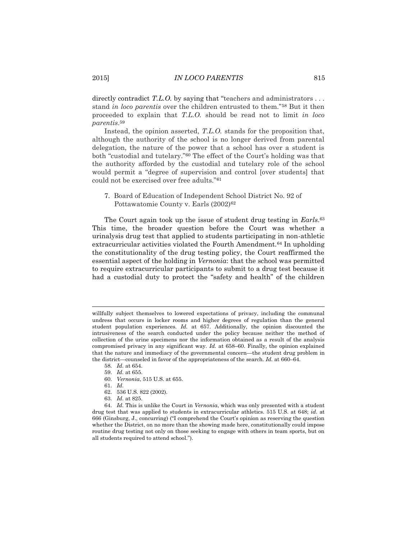# 2015] *IN LOCO PARENTIS* 815

directly contradict *T.L.O.* by saying that "teachers and administrators . . . stand *in loco parentis* over the children entrusted to them."<sup>58</sup> But it then proceeded to explain that *T.L.O.* should be read not to limit *in loco parentis*. 59

Instead, the opinion asserted, *T.L.O.* stands for the proposition that, although the authority of the school is no longer derived from parental delegation, the nature of the power that a school has over a student is both "custodial and tutelary."<sup>60</sup> The effect of the Court's holding was that the authority afforded by the custodial and tutelary role of the school would permit a "degree of supervision and control [over students] that could not be exercised over free adults."<sup>61</sup>

7. Board of Education of Independent School District No. 92 of Pottawatomie County v. Earls (2002)<sup>62</sup>

The Court again took up the issue of student drug testing in *Earls*. 63 This time, the broader question before the Court was whether a urinalysis drug test that applied to students participating in non-athletic extracurricular activities violated the Fourth Amendment.<sup>64</sup> In upholding the constitutionality of the drug testing policy, the Court reaffirmed the essential aspect of the holding in *Vernonia*: that the school was permitted to require extracurricular participants to submit to a drug test because it had a custodial duty to protect the "safety and health" of the children

61. *Id.*

- 62. 536 U.S. 822 (2002).
- 63. *Id.* at 825.

willfully subject themselves to lowered expectations of privacy, including the communal undress that occurs in locker rooms and higher degrees of regulation than the general student population experiences. *Id.* at 657. Additionally, the opinion discounted the intrusiveness of the search conducted under the policy because neither the method of collection of the urine specimens nor the information obtained as a result of the analysis compromised privacy in any significant way. *Id.* at 658–60. Finally, the opinion explained that the nature and immediacy of the governmental concern—the student drug problem in the district—counseled in favor of the appropriateness of the search. *Id.* at 660–64.

<sup>58</sup>*. Id.* at 654.

<sup>59.</sup> *Id.* at 655.

<sup>60.</sup> *Vernonia*, 515 U.S. at 655.

<sup>64.</sup> *Id.* This is unlike the Court in *Vernonia*, which was only presented with a student drug test that was applied to students in extracurricular athletics. 515 U.S. at 648; *id.* at 666 (Ginsburg, J., concurring) ("I comprehend the Court's opinion as reserving the question whether the District, on no more than the showing made here, constitutionally could impose routine drug testing not only on those seeking to engage with others in team sports, but on all students required to attend school.").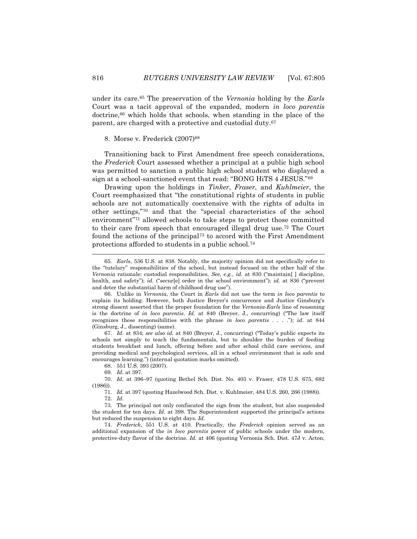under its care.<sup>65</sup> The preservation of the *Vernonia* holding by the *Earls* Court was a tacit approval of the expanded, modern *in loco parentis* doctrine,<sup>66</sup> which holds that schools, when standing in the place of the parent, are charged with a protective and custodial duty.<sup>67</sup>

#### 8. Morse v. Frederick (2007)<sup>68</sup>

Transitioning back to First Amendment free speech considerations, the *Frederick* Court assessed whether a principal at a public high school was permitted to sanction a public high school student who displayed a sign at a school-sanctioned event that read: "BONG HiTS 4 JESUS."<sup>69</sup>

Drawing upon the holdings in *Tinker*, *Fraser*, and *Kuhlmeier*, the Court reemphasized that "the constitutional rights of students in public schools are not automatically coextensive with the rights of adults in other settings,"<sup>70</sup> and that the "special characteristics of the school environment"<sup>71</sup> allowed schools to take steps to protect those committed to their care from speech that encouraged illegal drug use.<sup>72</sup> The Court found the actions of the principal<sup>73</sup> to accord with the First Amendment protections afforded to students in a public school.<sup>74</sup>

67. *Id.* at 834; *see also id.* at 840 (Breyer, J., concurring) ("Today's public expects its schools not simply to teach the fundamentals, but to shoulder the burden of feeding students breakfast and lunch, offering before and after school child care services, and providing medical and psychological services, all in a school environment that is safe and encourages learning.") (internal quotation marks omitted).

68. 551 U.S. 393 (2007).

70. *Id.* at 396–97 (quoting Bethel Sch. Dist. No. 403 v. Fraser, 478 U.S. 675, 682 (1986)).

71. *Id.* at 397 (quoting Hazelwood Sch. Dist. v. Kuhlmeier, 484 U.S. 260, 266 (1988)). 72. *Id.*

73. The principal not only confiscated the sign from the student, but also suspended the student for ten days. *Id.* at 398. The Superintendent supported the principal's actions but reduced the suspension to eight days. *Id.*

74. *Frederick*, 551 U.S. at 410. Practically, the *Frederick* opinion served as an additional expansion of the *in loco parentis* power of public schools under the modern, protective-duty flavor of the doctrine. *Id.* at 406 (quoting Vernonia Sch. Dist. 47J v. Acton,

<sup>65.</sup> *Earls*, 536 U.S. at 838. Notably, the majority opinion did not specifically refer to the "tutelary" responsibilities of the school, but instead focused on the other half of the *Vernonia* rationale: custodial responsibilities. *See, e.g.*, *id.* at 830 ("maintain[ ] discipline, health, and safety"); *id.* ("secur[e] order in the school environment"); *id.* at 836 ("prevent and deter the substantial harm of childhood drug use").

<sup>66.</sup> Unlike in *Vernonia*, the Court in *Earls* did not use the term *in loco parentis* to explain its holding. However, both Justice Breyer's concurrence and Justice Ginsburg's strong dissent asserted that the proper foundation for the *Vernonia*-*Earls* line of reasoning is the doctrine of *in loco parentis*. *Id.* at 840 (Breyer, J., concurring) ("The law itself recognizes these responsibilities with the phrase *in loco parentis* . . . ."); *id.* at 844 (Ginsburg, J., dissenting) (same).

<sup>69.</sup> *Id.* at 397.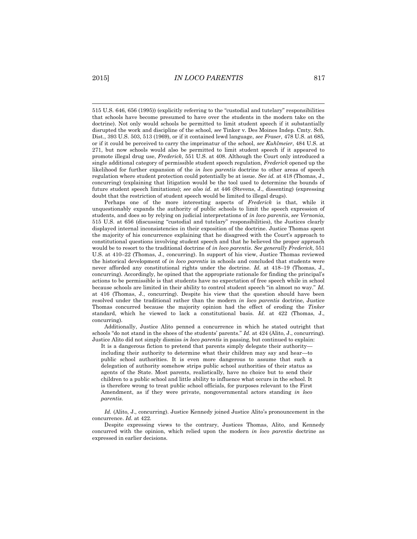515 U.S. 646, 656 (1995)) (explicitly referring to the "custodial and tutelary" responsibilities that schools have become presumed to have over the students in the modern take on the doctrine). Not only would schools be permitted to limit student speech if it substantially disrupted the work and discipline of the school, *see* Tinker v. Des Moines Indep. Cmty. Sch. Dist., 393 U.S. 503, 513 (1969), or if it contained lewd language, *see Fraser*, 478 U.S. at 685, or if it could be perceived to carry the imprimatur of the school, *see Kuhlmeier*, 484 U.S. at 271, but now schools would also be permitted to limit student speech if it appeared to promote illegal drug use, *Frederick*, 551 U.S. at 408. Although the Court only introduced a single additional category of permissible student speech regulation, *Frederick* opened up the likelihood for further expansion of the *in loco parentis* doctrine to other areas of speech regulation where student protection could potentially be at issue. *See id.* at 418 (Thomas, J., concurring) (explaining that litigation would be the tool used to determine the bounds of future student speech limitations); *see also id.* at 446 (Stevens, J., dissenting) (expressing doubt that the restriction of student speech would be limited to illegal drugs).

Perhaps one of the more interesting aspects of *Frederick* is that, while it unquestionably expands the authority of public schools to limit the speech expression of students, and does so by relying on judicial interpretations of *in loco parentis*, *see Vernonia*, 515 U.S. at 656 (discussing "custodial and tutelary" responsibilities), the Justices clearly displayed internal inconsistencies in their exposition of the doctrine. Justice Thomas spent the majority of his concurrence explaining that he disagreed with the Court's approach to constitutional questions involving student speech and that he believed the proper approach would be to resort to the traditional doctrine of *in loco parentis*. *See generally Frederick*, 551 U.S. at 410–22 (Thomas, J., concurring). In support of his view, Justice Thomas reviewed the historical development of *in loco parentis* in schools and concluded that students were never afforded any constitutional rights under the doctrine. *Id.* at 418–19 (Thomas, J., concurring). Accordingly, he opined that the appropriate rationale for finding the principal's actions to be permissible is that students have no expectation of free speech while in school because schools are limited in their ability to control student speech "in almost no way." *Id.* at 416 (Thomas, J., concurring). Despite his view that the question should have been resolved under the traditional rather than the modern *in loco parentis* doctrine, Justice Thomas concurred because the majority opinion had the effect of eroding the *Tinker* standard, which he viewed to lack a constitutional basis. *Id.* at 422 (Thomas, J., concurring).

Additionally, Justice Alito penned a concurrence in which he stated outright that schools "do not stand in the shoes of the students' parents." *Id.* at 424 (Alito, J., concurring). Justice Alito did not simply dismiss *in loco parentis* in passing, but continued to explain:

It is a dangerous fiction to pretend that parents simply delegate their authority including their authority to determine what their children may say and hear—to public school authorities. It is even more dangerous to assume that such a delegation of authority somehow strips public school authorities of their status as agents of the State. Most parents, realistically, have no choice but to send their children to a public school and little ability to influence what occurs in the school. It is therefore wrong to treat public school officials, for purposes relevant to the First Amendment, as if they were private, nongovernmental actors standing *in loco parentis*.

*Id.* (Alito, J., concurring). Justice Kennedy joined Justice Alito's pronouncement in the concurrence. *Id.* at 422.

Despite expressing views to the contrary, Justices Thomas, Alito, and Kennedy concurred with the opinion, which relied upon the modern *in loco parentis* doctrine as expressed in earlier decisions.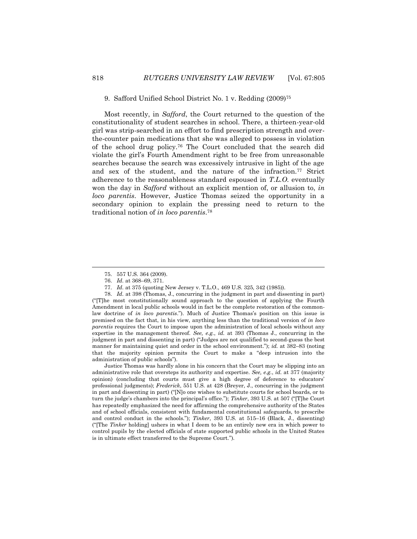#### 9. Safford Unified School District No. 1 v. Redding (2009)<sup>75</sup>

Most recently, in *Safford*, the Court returned to the question of the constitutionality of student searches in school. There, a thirteen-year-old girl was strip-searched in an effort to find prescription strength and overthe-counter pain medications that she was alleged to possess in violation of the school drug policy.<sup>76</sup> The Court concluded that the search did violate the girl's Fourth Amendment right to be free from unreasonable searches because the search was excessively intrusive in light of the age and sex of the student, and the nature of the infraction.<sup>77</sup> Strict adherence to the reasonableness standard espoused in *T.L.O.* eventually won the day in *Safford* without an explicit mention of, or allusion to, *in loco parentis*. However, Justice Thomas seized the opportunity in a secondary opinion to explain the pressing need to return to the traditional notion of *in loco parentis*. 78

Justice Thomas was hardly alone in his concern that the Court may be slipping into an administrative role that oversteps its authority and expertise. *See, e.g.*, *id.* at 377 (majority opinion) (concluding that courts must give a high degree of deference to educators' professional judgments); *Frederick*, 551 U.S. at 428 (Breyer, J., concurring in the judgment in part and dissenting in part) ("[N]o one wishes to substitute courts for school boards, or to turn the judge's chambers into the principal's office."); *Tinker*, 393 U.S. at 507 ("[T]he Court has repeatedly emphasized the need for affirming the comprehensive authority of the States and of school officials, consistent with fundamental constitutional safeguards, to prescribe and control conduct in the schools."); *Tinker*, 393 U.S*.* at 515–16 (Black, J., dissenting) ("[The *Tinker* holding] ushers in what I deem to be an entirely new era in which power to control pupils by the elected officials of state supported public schools in the United States is in ultimate effect transferred to the Supreme Court.").

<sup>75.</sup> 557 U.S. 364 (2009).

<sup>76.</sup> *Id.* at 368–69, 371.

<sup>77.</sup> *Id.* at 375 (quoting New Jersey v. T.L.O., 469 U.S. 325, 342 (1985)).

<sup>78.</sup> *Id.* at 398 (Thomas, J., concurring in the judgment in part and dissenting in part) ("[T]he most constitutionally sound approach to the question of applying the Fourth Amendment in local public schools would in fact be the complete restoration of the commonlaw doctrine of *in loco parentis*."). Much of Justice Thomas's position on this issue is premised on the fact that, in his view, anything less than the traditional version of *in loco parentis* requires the Court to impose upon the administration of local schools without any expertise in the management thereof. *See, e.g.*, *id.* at 393 (Thomas J., concurring in the judgment in part and dissenting in part) ("Judges are not qualified to second-guess the best manner for maintaining quiet and order in the school environment."); *id.* at 382–83 (noting that the majority opinion permits the Court to make a "deep intrusion into the administration of public schools").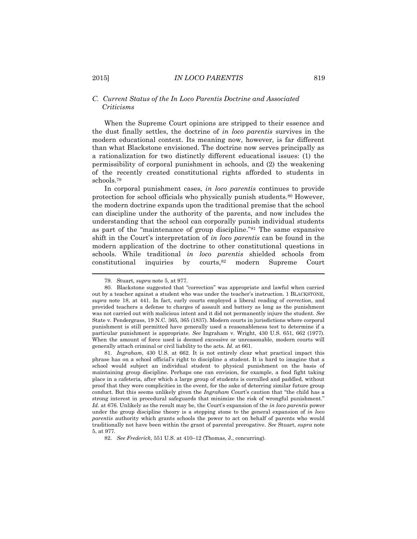# *C. Current Status of the In Loco Parentis Doctrine and Associated Criticisms*

When the Supreme Court opinions are stripped to their essence and the dust finally settles, the doctrine of *in loco parentis* survives in the modern educational context. Its meaning now, however, is far different than what Blackstone envisioned. The doctrine now serves principally as a rationalization for two distinctly different educational issues: (1) the permissibility of corporal punishment in schools, and (2) the weakening of the recently created constitutional rights afforded to students in schools.<sup>79</sup>

In corporal punishment cases, *in loco parentis* continues to provide protection for school officials who physically punish students.<sup>80</sup> However, the modern doctrine expands upon the traditional premise that the school can discipline under the authority of the parents, and now includes the understanding that the school can corporally punish individual students as part of the "maintenance of group discipline."<sup>81</sup> The same expansive shift in the Court's interpretation of *in loco parentis* can be found in the modern application of the doctrine to other constitutional questions in schools. While traditional *in loco parentis* shielded schools from constitutional inquiries by courts,<sup>82</sup> modern Supreme Court

<sup>79.</sup> Stuart, *supra* note 5, at 977.

<sup>80.</sup> Blackstone suggested that "correction" was appropriate and lawful when carried out by a teacher against a student who was under the teacher's instruction. 1 BLACKSTONE, *supra* note 18, at 441. In fact, early courts employed a liberal reading of *correction*, and provided teachers a defense to charges of assault and battery as long as the punishment was not carried out with malicious intent and it did not permanently injure the student. *See* State v. Pendergrass, 19 N.C. 365, 365 (1837). Modern courts in jurisdictions where corporal punishment is still permitted have generally used a reasonableness test to determine if a particular punishment is appropriate. *See* Ingraham v. Wright, 430 U.S. 651, 662 (1977). When the amount of force used is deemed excessive or unreasonable, modern courts will generally attach criminal or civil liability to the acts. *Id.* at 661.

<sup>81.</sup> *Ingraham*, 430 U.S. at 662. It is not entirely clear what practical impact this phrase has on a school official's right to discipline a student. It is hard to imagine that a school would subject an individual student to physical punishment on the basis of maintaining group discipline. Perhaps one can envision, for example, a food fight taking place in a cafeteria, after which a large group of students is corralled and paddled, without proof that they were complicities in the event, for the sake of deterring similar future group conduct. But this seems unlikely given the *Ingraham* Court's caution that "the child has a strong interest in procedural safeguards that minimize the risk of wrongful punishment." *Id.* at 676. Unlikely as the result may be, the Court's expansion of the *in loco parentis* power under the group discipline theory is a stepping stone to the general expansion of *in loco parentis* authority which grants schools the power to act on behalf of parents who would traditionally not have been within the grant of parental prerogative. *See* Stuart, *supra* note 5, at 977.

<sup>82.</sup> *See Frederick*, 551 U.S. at 410–12 (Thomas, J., concurring).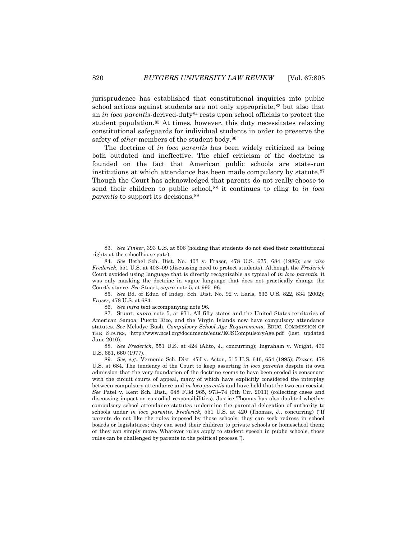jurisprudence has established that constitutional inquiries into public school actions against students are not only appropriate,<sup>83</sup> but also that an *in loco parentis*-derived-duty<sup>84</sup> rests upon school officials to protect the student population.<sup>85</sup> At times, however, this duty necessitates relaxing constitutional safeguards for individual students in order to preserve the safety of *other* members of the student body.<sup>86</sup>

The doctrine of *in loco parentis* has been widely criticized as being both outdated and ineffective. The chief criticism of the doctrine is founded on the fact that American public schools are state-run institutions at which attendance has been made compulsory by statute.<sup>87</sup> Though the Court has acknowledged that parents do not really choose to send their children to public school,<sup>88</sup> it continues to cling to *in loco parentis* to support its decisions.<sup>89</sup>

86. *See infra* text accompanying note 96.

<sup>83.</sup> *See Tinker*, 393 U.S. at 506 (holding that students do not shed their constitutional rights at the schoolhouse gate).

<sup>84.</sup> *See* Bethel Sch. Dist. No. 403 v. Fraser, 478 U.S. 675, 684 (1986); *see also Frederick*, 551 U.S. at 408–09 (discussing need to protect students). Although the *Frederick* Court avoided using language that is directly recognizable as typical of *in loco parentis*, it was only masking the doctrine in vague language that does not practically change the Court's stance. *See* Stuart, *supra* note 5, at 995–96.

<sup>85.</sup> *See* Bd. of Educ. of Indep. Sch. Dist. No. 92 v. Earls, 536 U.S. 822, 834 (2002); *Fraser*, 478 U.S. at 684.

<sup>87.</sup> Stuart, *supra* note 5, at 971. All fifty states and the United States territories of American Samoa, Puerto Rico, and the Virgin Islands now have compulsory attendance statutes. *See* Melodye Bush, *Compulsory School Age Requirements*, EDUC. COMMISSION OF THE STATES, http://www.ncsl.org/documents/educ/ECSCompulsoryAge.pdf (last updated June 2010).

<sup>88.</sup> *See Frederick*, 551 U.S. at 424 (Alito, J., concurring); Ingraham v. Wright, 430 U.S. 651, 660 (1977).

<sup>89.</sup> *See, e.g.*, Vernonia Sch. Dist. 47J v. Acton, 515 U.S. 646, 654 (1995); *Fraser*, 478 U.S. at 684. The tendency of the Court to keep asserting *in loco parentis* despite its own admission that the very foundation of the doctrine seems to have been eroded is consonant with the circuit courts of appeal, many of which have explicitly considered the interplay between compulsory attendance and *in loco parentis* and have held that the two can coexist. *See* Patel v. Kent Sch. Dist., 648 F.3d 965, 973–74 (9th Cir. 2011) (collecting cases and discussing impact on custodial responsibilities). Justice Thomas has also doubted whether compulsory school attendance statutes undermine the parental delegation of authority to schools under *in loco parentis*. *Frederick*, 551 U.S. at 420 (Thomas, J., concurring) ("If parents do not like the rules imposed by those schools, they can seek redress in school boards or legislatures; they can send their children to private schools or homeschool them; or they can simply move. Whatever rules apply to student speech in public schools, those rules can be challenged by parents in the political process.").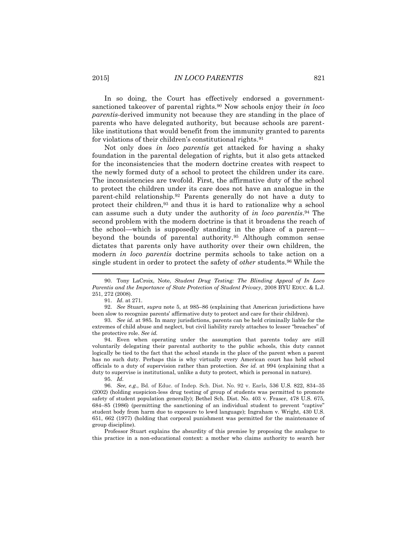In so doing, the Court has effectively endorsed a governmentsanctioned takeover of parental rights.<sup>90</sup> Now schools enjoy their *in loco parentis*-derived immunity not because they are standing in the place of parents who have delegated authority, but because schools are parentlike institutions that would benefit from the immunity granted to parents for violations of their children's constitutional rights.<sup>91</sup>

Not only does *in loco parentis* get attacked for having a shaky foundation in the parental delegation of rights, but it also gets attacked for the inconsistencies that the modern doctrine creates with respect to the newly formed duty of a school to protect the children under its care. The inconsistencies are twofold. First, the affirmative duty of the school to protect the children under its care does not have an analogue in the parent-child relationship.<sup>92</sup> Parents generally do not have a duty to protect their children,<sup>93</sup> and thus it is hard to rationalize why a school can assume such a duty under the authority of *in loco parentis*. <sup>94</sup> The second problem with the modern doctrine is that it broadens the reach of the school—which is supposedly standing in the place of a parent beyond the bounds of parental authority.<sup>95</sup> Although common sense dictates that parents only have authority over their own children, the modern *in loco parentis* doctrine permits schools to take action on a single student in order to protect the safety of *other* students.<sup>96</sup> While the

<sup>90.</sup> Tony LaCroix, Note, *Student Drug Testing: The Blinding Appeal of In Loco Parentis and the Importance of State Protection of Student Privacy*, 2008 BYU EDUC. & L.J. 251, 272 (2008).

<sup>91.</sup> *Id.* at 271.

<sup>92.</sup> *See* Stuart, *supra* note 5, at 985–86 (explaining that American jurisdictions have been slow to recognize parents' affirmative duty to protect and care for their children).

<sup>93.</sup> *See id.* at 985. In many jurisdictions, parents can be held criminally liable for the extremes of child abuse and neglect, but civil liability rarely attaches to lesser "breaches" of the protective role. *See id.*

<sup>94.</sup> Even when operating under the assumption that parents today are still voluntarily delegating their parental authority to the public schools, this duty cannot logically be tied to the fact that the school stands in the place of the parent when a parent has no such duty. Perhaps this is why virtually every American court has held school officials to a duty of supervision rather than protection. *See id.* at 994 (explaining that a duty to supervise is institutional, unlike a duty to protect, which is personal in nature).

<sup>95.</sup> *Id.*

<sup>96.</sup> *See, e.g.*, Bd. of Educ. of Indep. Sch. Dist. No. 92 v. Earls, 536 U.S. 822, 834–35 (2002) (holding suspicion-less drug testing of group of students was permitted to promote safety of student population generally); Bethel Sch. Dist. No. 403 v. Fraser, 478 U.S. 675, 684–85 (1986) (permitting the sanctioning of an individual student to prevent "captive" student body from harm due to exposure to lewd language); Ingraham v. Wright, 430 U.S. 651, 662 (1977) (holding that corporal punishment was permitted for the maintenance of group discipline).

Professor Stuart explains the absurdity of this premise by proposing the analogue to this practice in a non-educational context: a mother who claims authority to search her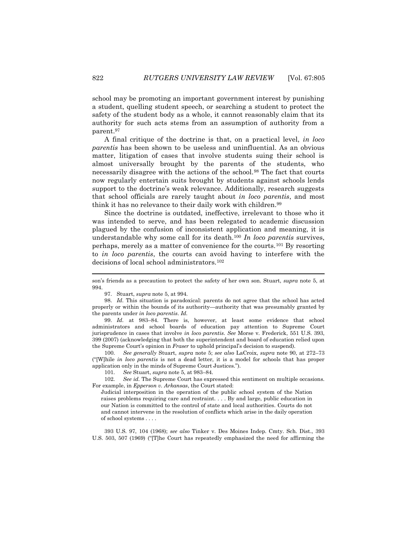school may be promoting an important government interest by punishing a student, quelling student speech, or searching a student to protect the safety of the student body as a whole, it cannot reasonably claim that its authority for such acts stems from an assumption of authority from a parent.<sup>97</sup>

A final critique of the doctrine is that, on a practical level, *in loco parentis* has been shown to be useless and uninfluential. As an obvious matter, litigation of cases that involve students suing their school is almost universally brought by the parents of the students, who necessarily disagree with the actions of the school.<sup>98</sup> The fact that courts now regularly entertain suits brought by students against schools lends support to the doctrine's weak relevance. Additionally, research suggests that school officials are rarely taught about *in loco parentis*, and most think it has no relevance to their daily work with children.<sup>99</sup>

Since the doctrine is outdated, ineffective, irrelevant to those who it was intended to serve, and has been relegated to academic discussion plagued by the confusion of inconsistent application and meaning, it is understandable why some call for its death.<sup>100</sup> *In loco parentis* survives, perhaps, merely as a matter of convenience for the courts.<sup>101</sup> By resorting to *in loco parentis*, the courts can avoid having to interfere with the decisions of local school administrators.<sup>102</sup>

100. *See generally* Stuart, *supra* note 5; *see also* LaCroix, *supra* note 90, at 272–73 ("[W]hile *in loco parentis* is not a dead letter, it is a model for schools that has proper application only in the minds of Supreme Court Justices.").

101. *See* Stuart, *supra* note 5, at 983–84.

102. *See id.* The Supreme Court has expressed this sentiment on multiple occasions. For example, in *Epperson v. Arkansas*, the Court stated:

Judicial interposition in the operation of the public school system of the Nation raises problems requiring care and restraint. . . . By and large, public education in our Nation is committed to the control of state and local authorities. Courts do not and cannot intervene in the resolution of conflicts which arise in the daily operation of school systems . . . .

393 U.S. 97, 104 (1968); *see also* Tinker v. Des Moines Indep. Cmty. Sch. Dist., 393 U.S. 503, 507 (1969) ("[T]he Court has repeatedly emphasized the need for affirming the

son's friends as a precaution to protect the safety of her own son. Stuart, *supra* note 5, at 994.

<sup>97.</sup> Stuart, *supra* note 5, at 994.

<sup>98.</sup> *Id.* This situation is paradoxical: parents do not agree that the school has acted properly or within the bounds of its authority—authority that was presumably granted by the parents under *in loco parentis*. *Id.*

<sup>99.</sup> *Id.* at 983–84. There is, however, at least some evidence that school administrators and school boards of education pay attention to Supreme Court jurisprudence in cases that involve *in loco parentis*. *See* Morse v. Frederick, 551 U.S. 393, 399 (2007) (acknowledging that both the superintendent and board of education relied upon the Supreme Court's opinion in *Fraser* to uphold principal's decision to suspend).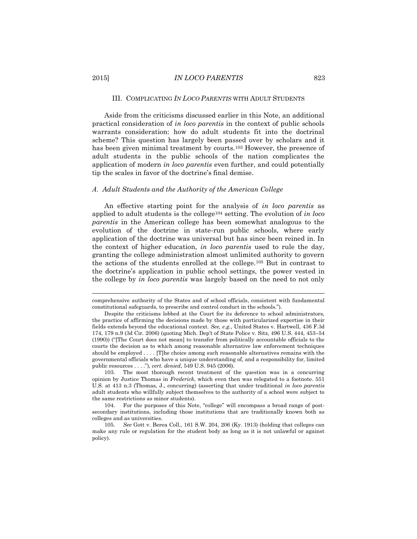# 2015] *IN LOCO PARENTIS* 823

#### III. COMPLICATING *IN LOCO PARENTIS* WITH ADULT STUDENTS

Aside from the criticisms discussed earlier in this Note, an additional practical consideration of *in loco parentis* in the context of public schools warrants consideration: how do adult students fit into the doctrinal scheme? This question has largely been passed over by scholars and it has been given minimal treatment by courts.<sup>103</sup> However, the presence of adult students in the public schools of the nation complicates the application of modern *in loco parentis* even further, and could potentially tip the scales in favor of the doctrine's final demise.

### *A. Adult Students and the Authority of the American College*

An effective starting point for the analysis of *in loco parentis* as applied to adult students is the college<sup>104</sup> setting. The evolution of *in loco parentis* in the American college has been somewhat analogous to the evolution of the doctrine in state-run public schools, where early application of the doctrine was universal but has since been reined in. In the context of higher education, *in loco parentis* used to rule the day, granting the college administration almost unlimited authority to govern the actions of the students enrolled at the college.<sup>105</sup> But in contrast to the doctrine's application in public school settings, the power vested in the college by *in loco parentis* was largely based on the need to not only

comprehensive authority of the States and of school officials, consistent with fundamental constitutional safeguards, to prescribe and control conduct in the schools.").

Despite the criticisms lobbed at the Court for its deference to school administrators, the practice of affirming the decisions made by those with particularized expertise in their fields extends beyond the educational context. *See, e.g.*, United States v. Hartwell, 436 F.3d 174, 179 n.9 (3d Cir. 2006) (quoting Mich. Dep't of State Police v. Sitz, 496 U.S. 444, 453–54 (1990)) ("[The Court does not mean] to transfer from politically accountable officials to the courts the decision as to which among reasonable alternative law enforcement techniques should be employed . . . . [T]he choice among such reasonable alternatives remains with the governmental officials who have a unique understanding of, and a responsibility for, limited public resources . . . ."), *cert. denied*, 549 U.S. 945 (2006).

<sup>103.</sup> The most thorough recent treatment of the question was in a concurring opinion by Justice Thomas in *Frederick*, which even then was relegated to a footnote. 551 U.S. at 413 n.3 (Thomas, J., concurring) (asserting that under traditional *in loco parentis* adult students who willfully subject themselves to the authority of a school were subject to the same restrictions as minor students).

<sup>104.</sup> For the purposes of this Note, "college" will encompass a broad range of postsecondary institutions, including those institutions that are traditionally known both as colleges and as universities.

<sup>105.</sup> *See* Gott v. Berea Coll., 161 S.W. 204, 206 (Ky. 1913) (holding that colleges can make any rule or regulation for the student body as long as it is not unlawful or against policy).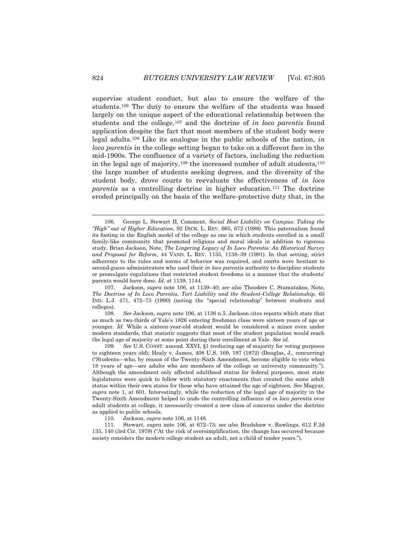supervise student conduct, but also to ensure the welfare of the students.<sup>106</sup> The duty to ensure the welfare of the students was based largely on the unique aspect of the educational relationship between the students and the college,<sup>107</sup> and the doctrine of *in loco parentis* found application despite the fact that most members of the student body were legal adults.<sup>108</sup> Like its analogue in the public schools of the nation, *in loco parentis* in the college setting began to take on a different face in the mid-1900s. The confluence of a variety of factors, including the reduction in the legal age of majority,<sup>109</sup> the increased number of adult students, $110$ the large number of students seeking degrees, and the diversity of the student body, drove courts to reevaluate the effectiveness of *in loco parentis* as a controlling doctrine in higher education.<sup>111</sup> The doctrine eroded principally on the basis of the welfare-protective duty that, in the

108. *See* Jackson, *supra* note 106, at 1136 n.5. Jackson cites reports which state that as much as two-thirds of Yale's 1826 entering freshman class were sixteen years of age or younger*. Id.* While a sixteen-year-old student would be considered a minor even under modern standards, that statistic suggests that most of the student population would reach the legal age of majority at some point during their enrollment at Yale. *See id.*

109. *See* U.S. CONST. amend. XXVI, §1 (reducing age of majority for voting purposes to eighteen years old); Healy v. James, 408 U.S. 169, 197 (1972) (Douglas, J., concurring) ("Students—who, by reason of the Twenty-Sixth Amendment, become eligible to vote when 18 years of age—are adults who are members of the college or university community."). Although the amendment only affected adulthood status for federal purposes, most state legislatures were quick to follow with statutory enactments that created the same adult status within their own states for those who have attained the age of eighteen. *See* Magyar, *supra* note 1, at 601. Interestingly, while the reduction of the legal age of majority in the Twenty-Sixth Amendment helped to undo the controlling influence of *in loco parentis* over adult students at college, it necessarily created a new class of concerns under the doctrine as applied to public schools.

110. Jackson, *supra* note 106, at 1148.

111. Stewart, *supra* note 106, at 672–73; *see also* Bradshaw v. Rawlings, 612 F.2d 135, 140 (3rd Cir. 1979) ("At the risk of oversimplification, the change has occurred because society considers the modern college student an adult, not a child of tender years.").

<sup>106.</sup> George L. Stewart II, Comment, *Social Host Liability on Campus: Taking the "High" out of Higher Education*, 92 DICK. L. REV. 665, 672 (1988). This paternalism found its footing in the English model of the college as one in which students enrolled in a small family-like community that promoted religious and moral ideals in addition to rigorous study. Brian Jackson, Note, *The Lingering Legacy of In Loco Parentis: An Historical Survey and Proposal for Reform*, 44 VAND. L. REV. 1135, 1138–39 (1991). In that setting, strict adherence to the rules and norms of behavior was required, and courts were hesitant to second-guess administrators who used their *in loco parentis* authority to discipline students or promulgate regulations that restricted student freedoms in a manner that the students' parents would have done. *Id.* at 1139, 1144.

<sup>107.</sup> Jackson, *supra* note 106, at 1139–40; *see also* Theodore C. Stamatakos, Note, *The Doctrine of In Loco Parentis, Tort Liability and the Student-College Relationship*, 65 IND. L.J. 471, 472–73 (1990) (noting the "special relationship" between students and colleges).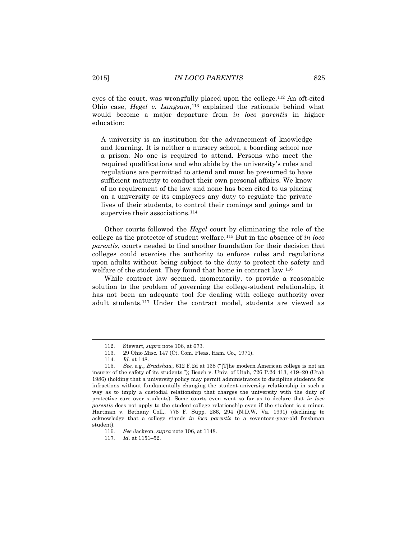eyes of the court, was wrongfully placed upon the college.<sup>112</sup> An oft-cited Ohio case, *Hegel v. Langsam*, <sup>113</sup> explained the rationale behind what would become a major departure from *in loco parentis* in higher education:

A university is an institution for the advancement of knowledge and learning. It is neither a nursery school, a boarding school nor a prison. No one is required to attend. Persons who meet the required qualifications and who abide by the university's rules and regulations are permitted to attend and must be presumed to have sufficient maturity to conduct their own personal affairs. We know of no requirement of the law and none has been cited to us placing on a university or its employees any duty to regulate the private lives of their students, to control their comings and goings and to supervise their associations.<sup>114</sup>

Other courts followed the *Hegel* court by eliminating the role of the college as the protector of student welfare.<sup>115</sup> But in the absence of *in loco parentis*, courts needed to find another foundation for their decision that colleges could exercise the authority to enforce rules and regulations upon adults without being subject to the duty to protect the safety and welfare of the student. They found that home in contract law.<sup>116</sup>

While contract law seemed, momentarily, to provide a reasonable solution to the problem of governing the college-student relationship, it has not been an adequate tool for dealing with college authority over adult students.<sup>117</sup> Under the contract model, students are viewed as

<sup>112.</sup> Stewart, *supra* note 106, at 673.

<sup>113.</sup> 29 Ohio Misc. 147 (Ct. Com. Pleas, Ham. Co., 1971).

<sup>114.</sup> *Id.* at 148.

<sup>115.</sup> *See, e.g.*, *Bradshaw*, 612 F.2d at 138 ("[T]he modern American college is not an insurer of the safety of its students."); Beach v. Univ. of Utah, 726 P.2d 413, 419–20 (Utah 1986) (holding that a university policy may permit administrators to discipline students for infractions without fundamentally changing the student-university relationship in such a way as to imply a custodial relationship that charges the university with the duty of protective care over students). Some courts even went so far as to declare that *in loco parentis* does not apply to the student-college relationship even if the student is a minor. Hartman v. Bethany Coll., 778 F. Supp. 286, 294 (N.D.W. Va. 1991) (declining to acknowledge that a college stands *in loco parentis* to a seventeen-year-old freshman student).

<sup>116.</sup> *See* Jackson, *supra* note 106, at 1148.

<sup>117.</sup> *Id.* at 1151–52.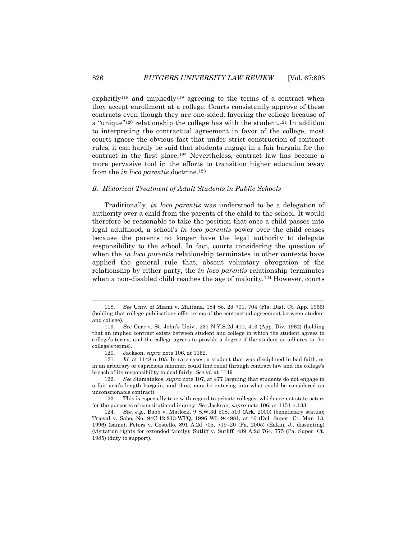explicitly<sup>118</sup> and impliedly<sup>119</sup> agreeing to the terms of a contract when they accept enrollment at a college. Courts consistently approve of these contracts even though they are one-sided, favoring the college because of a "unique"<sup>120</sup> relationship the college has with the student.<sup>121</sup> In addition to interpreting the contractual agreement in favor of the college, most courts ignore the obvious fact that under strict construction of contract rules, it can hardly be said that students engage in a fair bargain for the contract in the first place.<sup>122</sup> Nevertheless, contract law has become a more pervasive tool in the efforts to transition higher education away from the *in loco parentis* doctrine.<sup>123</sup>

### *B. Historical Treatment of Adult Students in Public Schools*

Traditionally, *in loco parentis* was understood to be a delegation of authority over a child from the parents of the child to the school. It would therefore be reasonable to take the position that once a child passes into legal adulthood, a school's *in loco parentis* power over the child ceases because the parents no longer have the legal authority to delegate responsibility to the school. In fact, courts considering the question of when the *in loco parentis* relationship terminates in other contexts have applied the general rule that, absent voluntary abrogation of the relationship by either party, the *in loco parentis* relationship terminates when a non-disabled child reaches the age of majority.<sup>124</sup> However, courts

 $\overline{\phantom{a}}$ 

<sup>118.</sup> *See* Univ. of Miami v. Militana, 184 So. 2d 701, 704 (Fla. Dist. Ct. App. 1966) (holding that college publications offer terms of the contractual agreement between student and college).

<sup>119.</sup> *See* Carr v. St. John's Univ., 231 N.Y.S.2d 410, 413 (App. Div. 1962) (holding that an implied contract exists between student and college in which the student agrees to college's terms, and the college agrees to provide a degree if the student so adheres to the college's terms).

<sup>120.</sup> Jackson, *supra* note 106, at 1152.

<sup>121.</sup> *Id.* at 1148 n.105. In rare cases, a student that was disciplined in bad faith, or in an arbitrary or capricious manner, could find relief through contract law and the college's breach of its responsibility to deal fairly. *See id*. at 1149.

<sup>122.</sup> *See* Stamatakos, *supra* note 107, at 477 (arguing that students do not engage in a fair arm's length bargain, and thus, may be entering into what could be considered an unconscionable contract).

<sup>123.</sup> This is especially true with regard to private colleges, which are not state actors for the purposes of constitutional inquiry. *See* Jackson, *supra* note 106, at 1151 n.133.

<sup>124.</sup> *See, e.g.*, Babb v. Matlock, 9 S.W.3d 508, 510 (Ark. 2000) (beneficiary status); Trieval v. Sabo, No. 94C-12-213-WTQ, 1996 WL 944981, at \*6 (Del. Super. Ct. Mar. 13, 1996) (same); Peters v. Costello, 891 A.2d 705, 719–20 (Pa. 2005) (Eakin, J., dissenting) (visitation rights for extended family); Sutliff v. Sutliff, 489 A.2d 764, 775 (Pa. Super. Ct. 1985) (duty to support).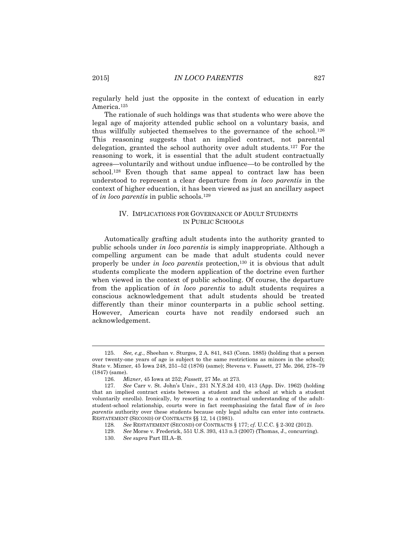regularly held just the opposite in the context of education in early America. 125

The rationale of such holdings was that students who were above the legal age of majority attended public school on a voluntary basis, and thus willfully subjected themselves to the governance of the school.<sup>126</sup> This reasoning suggests that an implied contract, not parental delegation, granted the school authority over adult students.<sup>127</sup> For the reasoning to work, it is essential that the adult student contractually agrees—voluntarily and without undue influence—to be controlled by the school.<sup>128</sup> Even though that same appeal to contract law has been understood to represent a clear departure from *in loco parentis* in the context of higher education, it has been viewed as just an ancillary aspect of *in loco parentis* in public schools.<sup>129</sup>

# IV. IMPLICATIONS FOR GOVERNANCE OF ADULT STUDENTS IN PUBLIC SCHOOLS

Automatically grafting adult students into the authority granted to public schools under *in loco parentis* is simply inappropriate. Although a compelling argument can be made that adult students could never properly be under *in loco parentis* protection,<sup>130</sup> it is obvious that adult students complicate the modern application of the doctrine even further when viewed in the context of public schooling. Of course, the departure from the application of *in loco parentis* to adult students requires a conscious acknowledgement that adult students should be treated differently than their minor counterparts in a public school setting. However, American courts have not readily endorsed such an acknowledgement.

<sup>125.</sup> *See, e.g.*, Sheehan v. Sturges, 2 A. 841, 843 (Conn. 1885) (holding that a person over twenty-one years of age is subject to the same restrictions as minors in the school); State v. Mizner, 45 Iowa 248, 251–52 (1876) (same); Stevens v. Fassett, 27 Me. 266, 278–79 (1847) (same).

<sup>126.</sup> *Mizner*, 45 Iowa at 252; *Fassett*, 27 Me. at 273.

<sup>127.</sup> *See* Carr v. St. John's Univ., 231 N.Y.S.2d 410, 413 (App. Div. 1962) (holding that an implied contract exists between a student and the school at which a student voluntarily enrolls). Ironically, by resorting to a contractual understanding of the adultstudent-school relationship, courts were in fact reemphasizing the fatal flaw of *in loco parentis* authority over these students because only legal adults can enter into contracts. RESTATEMENT (SECOND) OF CONTRACTS §§ 12, 14 (1981).

<sup>128</sup>*. See* RESTATEMENT (SECOND) OF CONTRACTS § 177; *cf.* U.C.C. § 2-302 (2012).

<sup>129.</sup> *See* Morse v. Frederick, 551 U.S. 393, 413 n.3 (2007) (Thomas, J., concurring).

<sup>130.</sup> *See supra* Part III.A–B.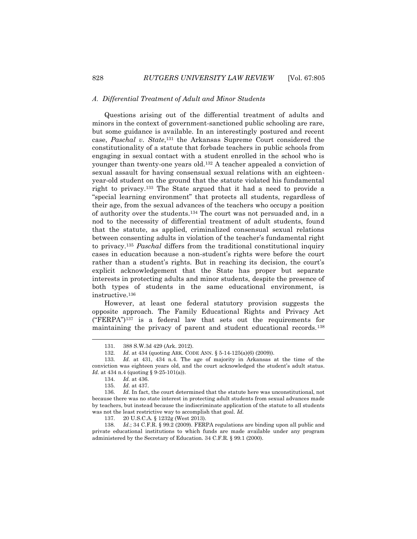### *A. Differential Treatment of Adult and Minor Students*

Questions arising out of the differential treatment of adults and minors in the context of government-sanctioned public schooling are rare, but some guidance is available. In an interestingly postured and recent case, *Paschal v. State*, <sup>131</sup> the Arkansas Supreme Court considered the constitutionality of a statute that forbade teachers in public schools from engaging in sexual contact with a student enrolled in the school who is younger than twenty-one years old.<sup>132</sup> A teacher appealed a conviction of sexual assault for having consensual sexual relations with an eighteenyear-old student on the ground that the statute violated his fundamental right to privacy.<sup>133</sup> The State argued that it had a need to provide a "special learning environment" that protects all students, regardless of their age, from the sexual advances of the teachers who occupy a position of authority over the students.<sup>134</sup> The court was not persuaded and, in a nod to the necessity of differential treatment of adult students, found that the statute, as applied, criminalized consensual sexual relations between consenting adults in violation of the teacher's fundamental right to privacy.<sup>135</sup> *Paschal* differs from the traditional constitutional inquiry cases in education because a non-student's rights were before the court rather than a student's rights. But in reaching its decision, the court's explicit acknowledgement that the State has proper but separate interests in protecting adults and minor students, despite the presence of both types of students in the same educational environment, is instructive.<sup>136</sup>

However, at least one federal statutory provision suggests the opposite approach. The Family Educational Rights and Privacy Act  $("FERPA")<sup>137</sup>$  is a federal law that sets out the requirements for maintaining the privacy of parent and student educational records.<sup>138</sup>

 $\overline{\phantom{a}}$ 

<sup>131.</sup> 388 S.W.3d 429 (Ark. 2012).

<sup>132.</sup> *Id.* at 434 (quoting ARK. CODE ANN. § 5-14-125(a)(6) (2009)).

<sup>133.</sup> *Id.* at 431, 434 n.4. The age of majority in Arkansas at the time of the conviction was eighteen years old, and the court acknowledged the student's adult status. *Id.* at 434 n.4 (quoting § 9-25-101(a)).

<sup>134.</sup> *Id.* at 436.

<sup>135.</sup> *Id.* at 437.

<sup>136.</sup> *Id.* In fact, the court determined that the statute here was unconstitutional, not because there was no state interest in protecting adult students from sexual advances made by teachers, but instead because the indiscriminate application of the statute to all students was not the least restrictive way to accomplish that goal. *Id.*

<sup>137.</sup> 20 U.S.C.A. § 1232g (West 2013).

<sup>138.</sup> *Id.*; 34 C.F.R. § 99.2 (2009). FERPA regulations are binding upon all public and private educational institutions to which funds are made available under any program administered by the Secretary of Education. 34 C.F.R. § 99.1 (2000).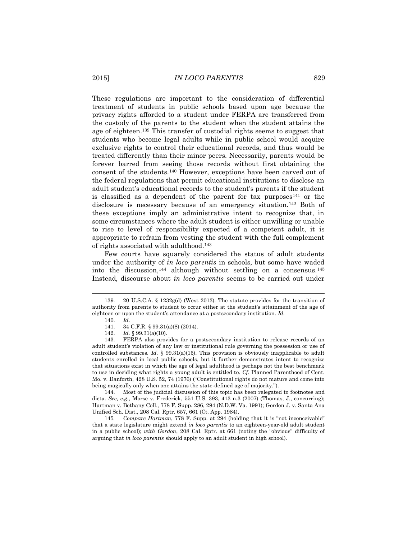These regulations are important to the consideration of differential treatment of students in public schools based upon age because the privacy rights afforded to a student under FERPA are transferred from the custody of the parents to the student when the student attains the age of eighteen.<sup>139</sup> This transfer of custodial rights seems to suggest that students who become legal adults while in public school would acquire exclusive rights to control their educational records, and thus would be treated differently than their minor peers. Necessarily, parents would be forever barred from seeing those records without first obtaining the consent of the students.<sup>140</sup> However, exceptions have been carved out of the federal regulations that permit educational institutions to disclose an adult student's educational records to the student's parents if the student is classified as a dependent of the parent for tax purposes  $141$  or the disclosure is necessary because of an emergency situation.<sup>142</sup> Both of these exceptions imply an administrative intent to recognize that, in some circumstances where the adult student is either unwilling or unable to rise to level of responsibility expected of a competent adult, it is appropriate to refrain from vesting the student with the full complement of rights associated with adulthood.<sup>143</sup>

Few courts have squarely considered the status of adult students under the authority of *in loco parentis* in schools, but some have waded into the discussion,<sup>144</sup> although without settling on a consensus.<sup>145</sup> Instead, discourse about *in loco parentis* seems to be carried out under

l

144. Most of the judicial discussion of this topic has been relegated to footnotes and dicta. *See, e.g.*, Morse v. Frederick, 551 U.S. 393, 413 n.3 (2007) (Thomas, J., concurring); Hartman v. Bethany Coll., 778 F. Supp. 286, 294 (N.D.W. Va. 1991); Gordon J. v. Santa Ana Unified Sch. Dist., 208 Cal. Rptr. 657, 661 (Ct. App. 1984).

145*. Compare Hartman*, 778 F. Supp. at 294 (holding that it is "not inconceivable" that a state legislature might extend *in loco parentis* to an eighteen-year-old adult student in a public school); *with Gordon*, 208 Cal. Rptr. at 661 (noting the "obvious" difficulty of arguing that *in loco parentis* should apply to an adult student in high school).

<sup>139.</sup> 20 U.S.C.A. § 1232g(d) (West 2013). The statute provides for the transition of authority from parents to student to occur either at the student's attainment of the age of eighteen or upon the student's attendance at a postsecondary institution. *Id.*

<sup>140.</sup> *Id.*

<sup>141.</sup> 34 C.F.R. § 99.31(a)(8) (2014).

<sup>142.</sup> *Id.* § 99.31(a)(10).

<sup>143.</sup> FERPA also provides for a postsecondary institution to release records of an adult student's violation of any law or institutional rule governing the possession or use of controlled substances. *Id.* § 99.31(a)(15). This provision is obviously inapplicable to adult students enrolled in local public schools, but it further demonstrates intent to recognize that situations exist in which the age of legal adulthood is perhaps not the best benchmark to use in deciding what rights a young adult is entitled to. *Cf.* Planned Parenthood of Cent. Mo. v. Danforth, 428 U.S. 52, 74 (1976) ("Constitutional rights do not mature and come into being magically only when one attains the state-defined age of majority.").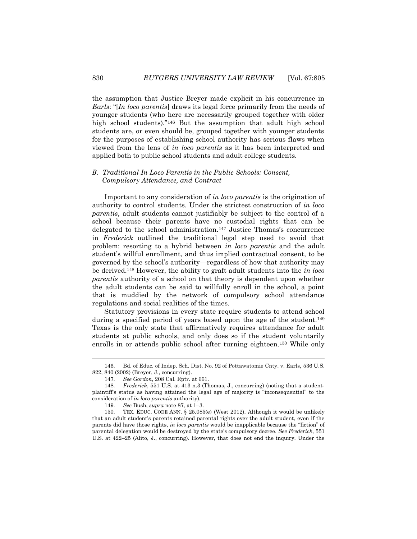the assumption that Justice Breyer made explicit in his concurrence in *Earls*: "[*In loco parentis*] draws its legal force primarily from the needs of younger students (who here are necessarily grouped together with older high school students)."<sup>146</sup> But the assumption that adult high school students are, or even should be, grouped together with younger students for the purposes of establishing school authority has serious flaws when viewed from the lens of *in loco parentis* as it has been interpreted and applied both to public school students and adult college students.

# *B. Traditional In Loco Parentis in the Public Schools: Consent, Compulsory Attendance, and Contract*

Important to any consideration of *in loco parentis* is the origination of authority to control students. Under the strictest construction of *in loco parentis*, adult students cannot justifiably be subject to the control of a school because their parents have no custodial rights that can be delegated to the school administration.<sup>147</sup> Justice Thomas's concurrence in *Frederick* outlined the traditional legal step used to avoid that problem: resorting to a hybrid between *in loco parentis* and the adult student's willful enrollment, and thus implied contractual consent, to be governed by the school's authority—regardless of how that authority may be derived.<sup>148</sup> However, the ability to graft adult students into the *in loco parentis* authority of a school on that theory is dependent upon whether the adult students can be said to willfully enroll in the school, a point that is muddied by the network of compulsory school attendance regulations and social realities of the times.

Statutory provisions in every state require students to attend school during a specified period of years based upon the age of the student.<sup>149</sup> Texas is the only state that affirmatively requires attendance for adult students at public schools, and only does so if the student voluntarily enrolls in or attends public school after turning eighteen.<sup>150</sup> While only

 $\overline{a}$ 

<sup>146.</sup> Bd. of Educ. of Indep. Sch. Dist. No. 92 of Pottawatomie Cnty. v. Earls, 536 U.S. 822, 840 (2002) (Breyer, J., concurring).

<sup>147.</sup> *See Gordon*, 208 Cal. Rptr. at 661.

<sup>148.</sup> *Frederick*, 551 U.S. at 413 n.3 (Thomas, J., concurring) (noting that a studentplaintiff's status as having attained the legal age of majority is "inconsequential" to the consideration of *in loco parentis* authority).

<sup>149.</sup> *See* Bush, *supra* note 87, at 1–3.

<sup>150.</sup> TEX. EDUC. CODE ANN. § 25.085(e) (West 2012). Although it would be unlikely that an adult student's parents retained parental rights over the adult student, even if the parents did have those rights, *in loco parentis* would be inapplicable because the "fiction" of parental delegation would be destroyed by the state's compulsory decree. *See Frederick*, 551 U.S. at 422–25 (Alito, J., concurring). However, that does not end the inquiry. Under the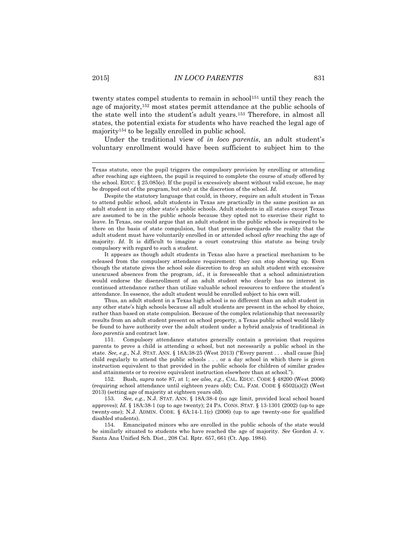twenty states compel students to remain in school<sup>151</sup> until they reach the age of majority,<sup>152</sup> most states permit attendance at the public schools of the state well into the student's adult years.<sup>153</sup> Therefore, in almost all states, the potential exists for students who have reached the legal age of majority<sup>154</sup> to be legally enrolled in public school.

Under the traditional view of *in loco parentis*, an adult student's voluntary enrollment would have been sufficient to subject him to the

It appears as though adult students in Texas also have a practical mechanism to be released from the compulsory attendance requirement: they can stop showing up. Even though the statute gives the school sole discretion to drop an adult student with excessive unexcused absences from the program, *id.*, it is foreseeable that a school administration would endorse the disenrollment of an adult student who clearly has no interest in continued attendance rather than utilize valuable school resources to enforce the student's attendance. In essence, the adult student would be enrolled subject to his own will.

Thus, an adult student in a Texas high school is no different than an adult student in any other state's high schools because all adult students are present in the school by choice, rather than based on state compulsion. Because of the complex relationship that necessarily results from an adult student present on school property, a Texas public school would likely be found to have authority over the adult student under a hybrid analysis of traditional *in loco parentis* and contract law.

151. Compulsory attendance statutes generally contain a provision that requires parents to prove a child is attending *a* school, but not necessarily a public school in the state. *See, e.g.*, N.J. STAT. ANN. § 18A:38-25 (West 2013) ("Every parent . . . shall cause [his] child regularly to attend the public schools . . . or a day school in which there is given instruction equivalent to that provided in the public schools for children of similar grades and attainments or to receive equivalent instruction elsewhere than at school.").

152. Bush, *supra* note 87, at 1; *see also, e.g.*, CAL. EDUC. CODE § 48200 (West 2006) (requiring school attendance until eighteen years old); CAL. FAM. CODE § 6502(a)(2) (West 2013) (setting age of majority at eighteen years old).

153. *See, e.g.*, N.J. STAT. ANN. § 18A:38-4 (no age limit, provided local school board approves); *Id.* § 18A:38-1 (up to age twenty); 24 PA. CONS. STAT. § 13-1301 (2002) (up to age twenty-one); N.J. ADMIN. CODE. § 6A:14-1.1(c) (2006) (up to age twenty-one for qualified disabled students).

154. Emancipated minors who are enrolled in the public schools of the state would be similarly situated to students who have reached the age of majority. *See* Gordon J. v. Santa Ana Unified Sch. Dist., 208 Cal. Rptr. 657, 661 (Ct. App. 1984).

Texas statute, once the pupil triggers the compulsory provision by enrolling or attending after reaching age eighteen, the pupil is required to complete the course of study offered by the school. EDUC. § 25.085(e). If the pupil is excessively absent without valid excuse, he may be dropped out of the program, but *only* at the discretion of the school. *Id.*

Despite the statutory language that could, in theory, require an adult student in Texas to attend public school, adult students in Texas are practically in the same position as an adult student in any other state's public schools. Adult students in all states except Texas are assumed to be in the public schools because they opted not to exercise their right to leave. In Texas, one could argue that an adult student in the public schools is required to be there on the basis of state compulsion, but that premise disregards the reality that the adult student must have voluntarily enrolled in or attended school *after* reaching the age of majority. *Id.* It is difficult to imagine a court construing this statute as being truly compulsory with regard to such a student.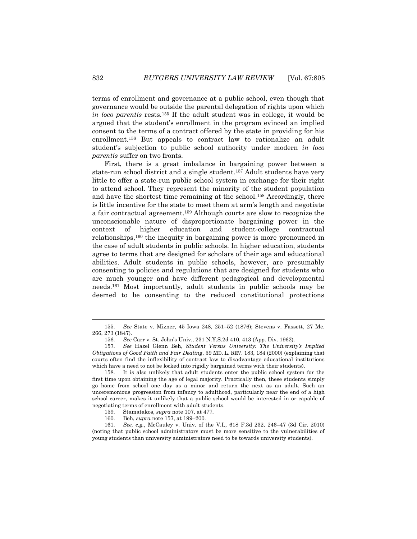terms of enrollment and governance at a public school, even though that governance would be outside the parental delegation of rights upon which *in loco parentis* rests.<sup>155</sup> If the adult student was in college, it would be argued that the student's enrollment in the program evinced an implied consent to the terms of a contract offered by the state in providing for his enrollment.<sup>156</sup> But appeals to contract law to rationalize an adult student's subjection to public school authority under modern *in loco parentis* suffer on two fronts.

First, there is a great imbalance in bargaining power between a state-run school district and a single student.<sup>157</sup> Adult students have very little to offer a state-run public school system in exchange for their right to attend school. They represent the minority of the student population and have the shortest time remaining at the school.<sup>158</sup> Accordingly, there is little incentive for the state to meet them at arm's length and negotiate a fair contractual agreement.<sup>159</sup> Although courts are slow to recognize the unconscionable nature of disproportionate bargaining power in the context of higher education and student-college contractual relationships,<sup>160</sup> the inequity in bargaining power is more pronounced in the case of adult students in public schools. In higher education, students agree to terms that are designed for scholars of their age and educational abilities. Adult students in public schools, however, are presumably consenting to policies and regulations that are designed for students who are much younger and have different pedagogical and developmental needs.<sup>161</sup> Most importantly, adult students in public schools may be deemed to be consenting to the reduced constitutional protections

 $\overline{\phantom{a}}$ 

<sup>155.</sup> *See* State v. Mizner, 45 Iowa 248, 251–52 (1876); Stevens v. Fassett, 27 Me. 266, 273 (1847).

<sup>156.</sup> *See* Carr v. St. John's Univ., 231 N.Y.S.2d 410, 413 (App. Div. 1962).

<sup>157.</sup> *See* Hazel Glenn Beh, *Student Versus University: The University's Implied Obligations of Good Faith and Fair Dealing*, 59 MD. L. REV. 183, 184 (2000) (explaining that courts often find the inflexibility of contract law to disadvantage educational institutions which have a need to not be locked into rigidly bargained terms with their students).

<sup>158.</sup> It is also unlikely that adult students enter the public school system for the first time upon obtaining the age of legal majority. Practically then, these students simply go home from school one day as a minor and return the next as an adult. Such an unceremonious progression from infancy to adulthood, particularly near the end of a high school career, makes it unlikely that a public school would be interested in or capable of negotiating terms of enrollment with adult students.

<sup>159.</sup> Stamatakos, *supra* note 107, at 477.

<sup>160.</sup> Beh, *supra* note 157, at 199–200.

<sup>161.</sup> *See, e.g.*, McCauley v. Univ. of the V.I., 618 F.3d 232, 246–47 (3d Cir. 2010) (noting that public school administrators must be more sensitive to the vulnerabilities of young students than university administrators need to be towards university students).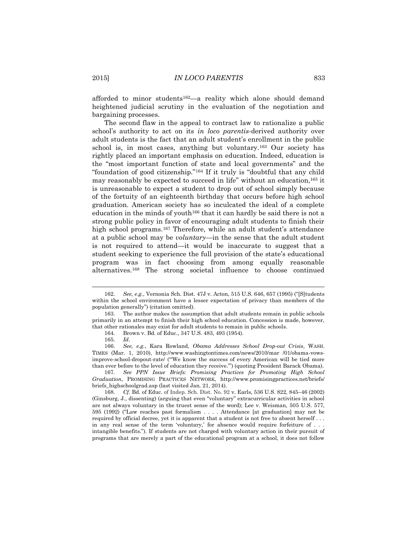afforded to minor students162—a reality which alone should demand heightened judicial scrutiny in the evaluation of the negotiation and bargaining processes.

The second flaw in the appeal to contract law to rationalize a public school's authority to act on its *in loco parentis*-derived authority over adult students is the fact that an adult student's enrollment in the public school is, in most cases, anything but voluntary.<sup>163</sup> Our society has rightly placed an important emphasis on education. Indeed, education is the "most important function of state and local governments" and the "foundation of good citizenship."<sup>164</sup> If it truly is "doubtful that any child may reasonably be expected to succeed in life" without an education,<sup>165</sup> it is unreasonable to expect a student to drop out of school simply because of the fortuity of an eighteenth birthday that occurs before high school graduation. American society has so inculcated the ideal of a complete education in the minds of youth<sup>166</sup> that it can hardly be said there is not a strong public policy in favor of encouraging adult students to finish their high school programs.<sup>167</sup> Therefore, while an adult student's attendance at a public school may be *voluntary*—in the sense that the adult student is not required to attend—it would be inaccurate to suggest that a student seeking to experience the full provision of the state's educational program was in fact choosing from among equally reasonable alternatives.<sup>168</sup> The strong societal influence to choose continued

 $\overline{\phantom{a}}$ 

167. *See PPN Issue Briefs: Promising Practices for Promoting High School Graduation*, PROMISING PRACTICES NETWORK, http://www.promisingpractices.net/briefs/ briefs\_highschoolgrad.asp (last visited Jan. 21, 2014).

<sup>162.</sup> *See, e.g.*, Vernonia Sch. Dist. 47J v. Acton, 515 U.S. 646, 657 (1995) ("[S]tudents within the school environment have a lesser expectation of privacy than members of the population generally") (citation omitted).

<sup>163.</sup> The author makes the assumption that adult students remain in public schools primarily in an attempt to finish their high school education. Concession is made, however, that other rationales may exist for adult students to remain in public schools.

<sup>164.</sup> Brown v. Bd. of Educ., 347 U.S. 483, 493 (1954).

<sup>165.</sup> *Id.*

<sup>166.</sup> *See, e.g.*, Kara Rowland, *Obama Addresses School Drop-out Crisis*, WASH. TIMES (Mar. 1, 2010), http://www.washingtontimes.com/news/2010/mar /01/obama-vowsimprove-school-dropout-rate/ ("'We know the success of every American will be tied more than ever before to the level of education they receive.'") (quoting President Barack Obama).

<sup>168.</sup> *Cf*. Bd. of Educ. of Indep. Sch. Dist. No. 92 v. Earls, 536 U.S. 822, 845–46 (2002) (Ginsburg, J., dissenting) (arguing that even "voluntary" extracurricular activities in school are not always voluntary in the truest sense of the word); Lee v. Weisman, 505 U.S. 577, 595 (1992) ("Law reaches past formalism . . . . Attendance [at graduation] may not be required by official decree, yet it is apparent that a student is not free to absent herself . . . in any real sense of the term 'voluntary,' for absence would require forfeiture of . . intangible benefits."). If students are not charged with voluntary action in their pursuit of programs that are merely a part of the educational program at a school, it does not follow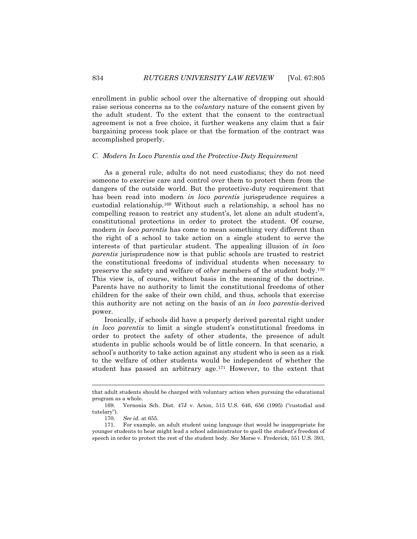enrollment in public school over the alternative of dropping out should raise serious concerns as to the *voluntary* nature of the consent given by the adult student. To the extent that the consent to the contractual agreement is not a free choice, it further weakens any claim that a fair bargaining process took place or that the formation of the contract was accomplished properly.

### *C. Modern In Loco Parentis and the Protective-Duty Requirement*

As a general rule, adults do not need custodians; they do not need someone to exercise care and control over them to protect them from the dangers of the outside world. But the protective-duty requirement that has been read into modern *in loco parentis* jurisprudence requires a custodial relationship.<sup>169</sup> Without such a relationship, a school has no compelling reason to restrict any student's, let alone an adult student's, constitutional protections in order to protect the student. Of course, modern *in loco parentis* has come to mean something very different than the right of a school to take action on a single student to serve the interests of that particular student. The appealing illusion of *in loco parentis* jurisprudence now is that public schools are trusted to restrict the constitutional freedoms of individual students when necessary to preserve the safety and welfare of *other* members of the student body.<sup>170</sup> This view is, of course, without basis in the meaning of the doctrine. Parents have no authority to limit the constitutional freedoms of other children for the sake of their own child, and thus, schools that exercise this authority are not acting on the basis of an *in loco parentis*-derived power.

Ironically, if schools did have a properly derived parental right under *in loco parentis* to limit a single student's constitutional freedoms in order to protect the safety of other students, the presence of adult students in public schools would be of little concern. In that scenario, a school's authority to take action against any student who is seen as a risk to the welfare of other students would be independent of whether the student has passed an arbitrary age.<sup>171</sup> However, to the extent that

that adult students should be charged with voluntary action when pursuing the educational program as a whole.

<sup>169.</sup> Vernonia Sch. Dist. 47J v. Acton, 515 U.S. 646, 656 (1995) ("custodial and tutelary").

<sup>170.</sup> *See id.* at 655.

<sup>171.</sup> For example, an adult student using language that would be inappropriate for younger students to hear might lead a school administrator to quell the student's freedom of speech in order to protect the rest of the student body. *See* Morse v. Frederick, 551 U.S. 393,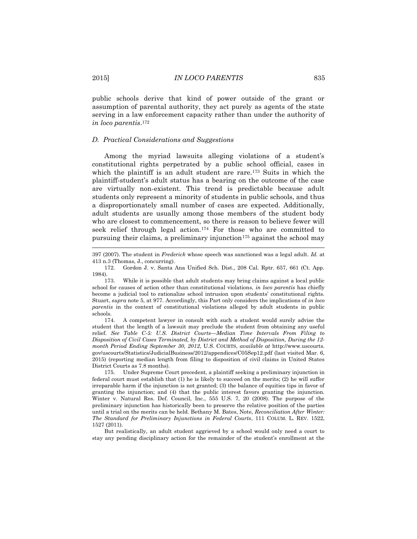public schools derive that kind of power outside of the grant or assumption of parental authority, they act purely as agents of the state serving in a law enforcement capacity rather than under the authority of *in loco parentis*. 172

#### *D. Practical Considerations and Suggestions*

Among the myriad lawsuits alleging violations of a student's constitutional rights perpetrated by a public school official, cases in which the plaintiff is an adult student are rare.<sup>173</sup> Suits in which the plaintiff-student's adult status has a bearing on the outcome of the case are virtually non-existent. This trend is predictable because adult students only represent a minority of students in public schools, and thus a disproportionately small number of cases are expected. Additionally, adult students are usually among those members of the student body who are closest to commencement, so there is reason to believe fewer will seek relief through legal action.<sup>174</sup> For those who are committed to pursuing their claims, a preliminary injunction<sup>175</sup> against the school may

 $\overline{\phantom{a}}$ 

<sup>397 (2007).</sup> The student in *Frederick* whose speech was sanctioned was a legal adult. *Id.* at 413 n.3 (Thomas, J., concurring).

<sup>172.</sup> Gordon J. v. Santa Ana Unified Sch. Dist., 208 Cal. Rptr. 657, 661 (Ct. App. 1984).

<sup>173.</sup> While it is possible that adult students may bring claims against a local public school for causes of action other than constitutional violations, *in loco parentis* has chiefly become a judicial tool to rationalize school intrusion upon students' constitutional rights. Stuart, *supra* note 5, at 977. Accordingly, this Part only considers the implications of *in loco parentis* in the context of constitutional violations alleged by adult students in public schools.

<sup>174.</sup> A competent lawyer in consult with such a student would surely advise the student that the length of a lawsuit may preclude the student from obtaining any useful relief. *See Table C-5: U.S. District Courts—Median Time Intervals From Filing to Disposition of Civil Cases Terminated, by District and Method of Disposition, During the 12 month Period Ending September 30, 2012*, U.S. COURTS, *available at* http://www.uscourts. gov/uscourts/Statistics/JudicialBusiness/2012/appendices/C05Sep12.pdf (last visited Mar. 6, 2015) (reporting median length from filing to disposition of civil claims in United States District Courts as 7.8 months).

<sup>175.</sup> Under Supreme Court precedent, a plaintiff seeking a preliminary injunction in federal court must establish that (1) he is likely to succeed on the merits; (2) he will suffer irreparable harm if the injunction is not granted; (3) the balance of equities tips in favor of granting the injunction; and (4) that the public interest favors granting the injunction. Winter v. Natural Res. Def. Council, Inc., 555 U.S. 7, 20 (2008). The purpose of the preliminary injunction has historically been to preserve the relative position of the parties until a trial on the merits can be held. Bethany M. Bates, Note, *Reconciliation After Winter: The Standard for Preliminary Injunctions in Federal Courts*, 111 COLUM. L. REV. 1522, 1527 (2011).

But realistically, an adult student aggrieved by a school would only need a court to stay any pending disciplinary action for the remainder of the student's enrollment at the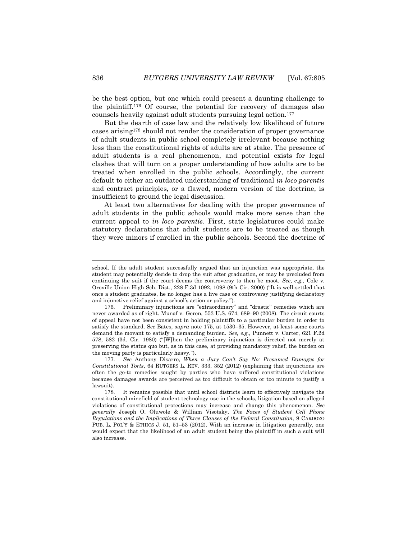be the best option, but one which could present a daunting challenge to the plaintiff. <sup>176</sup> Of course, the potential for recovery of damages also counsels heavily against adult students pursuing legal action.<sup>177</sup>

But the dearth of case law and the relatively low likelihood of future cases arising<sup>178</sup> should not render the consideration of proper governance of adult students in public school completely irrelevant because nothing less than the constitutional rights of adults are at stake. The presence of adult students is a real phenomenon, and potential exists for legal clashes that will turn on a proper understanding of how adults are to be treated when enrolled in the public schools. Accordingly, the current default to either an outdated understanding of traditional *in loco parentis*  and contract principles, or a flawed, modern version of the doctrine, is insufficient to ground the legal discussion.

At least two alternatives for dealing with the proper governance of adult students in the public schools would make more sense than the current appeal to *in loco parentis*. First, state legislatures could make statutory declarations that adult students are to be treated as though they were minors if enrolled in the public schools. Second the doctrine of

 $\overline{\phantom{a}}$ 

school. If the adult student successfully argued that an injunction was appropriate, the student may potentially decide to drop the suit after graduation, or may be precluded from continuing the suit if the court deems the controversy to then be moot. *See, e.g.*, Cole v. Oroville Union High Sch. Dist., 228 F.3d 1092, 1098 (9th Cir. 2000) ("It is well-settled that once a student graduates, he no longer has a live case or controversy justifying declaratory and injunctive relief against a school's action or policy.").

<sup>176.</sup> Preliminary injunctions are "extraordinary" and "drastic" remedies which are never awarded as of right. Munaf v. Geren, 553 U.S. 674, 689–90 (2008). The circuit courts of appeal have not been consistent in holding plaintiffs to a particular burden in order to satisfy the standard. S*ee* Bates, *supra* note 175, at 1530–35. However, at least some courts demand the movant to satisfy a demanding burden. *See, e.g.*, Punnett v. Carter, 621 F.2d 578, 582 (3d. Cir. 1980) ("[W]hen the preliminary injunction is directed not merely at preserving the status quo but, as in this case, at providing mandatory relief, the burden on the moving party is particularly heavy.").

<sup>177.</sup> *See* Anthony Disarro, *When a Jury Can't Say No: Presumed Damages for Constitutional Torts*, 64 RUTGERS L. REV. 333, 352 (2012) (explaining that injunctions are often the go-to remedies sought by parties who have suffered constitutional violations because damages awards are perceived as too difficult to obtain or too minute to justify a lawsuit).

<sup>178.</sup> It remains possible that until school districts learn to effectively navigate the constitutional minefield of student technology use in the schools, litigation based on alleged violations of constitutional protections may increase and change this phenomenon. *See generally* Joseph O. Oluwole & William Visotsky, *The Faces of Student Cell Phone Regulations and the Implications of Three Clauses of the Federal Constitution*, 9 CARDOZO PUB. L. POL'Y & ETHICS J. 51, 51–53 (2012). With an increase in litigation generally, one would expect that the likelihood of an adult student being the plaintiff in such a suit will also increase.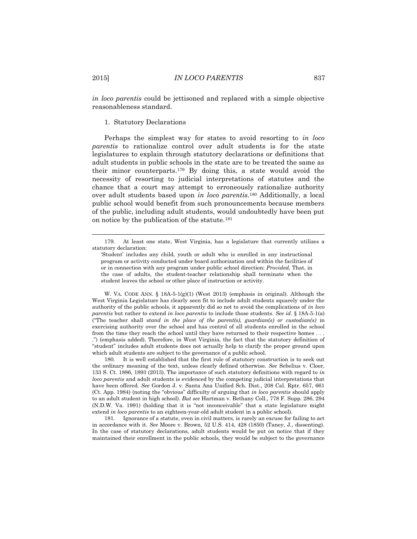*in loco parentis* could be jettisoned and replaced with a simple objective reasonableness standard.

### 1. Statutory Declarations

Perhaps the simplest way for states to avoid resorting to *in loco parentis* to rationalize control over adult students is for the state legislatures to explain through statutory declarations or definitions that adult students in public schools in the state are to be treated the same as their minor counterparts.<sup>179</sup> By doing this, a state would avoid the necessity of resorting to judicial interpretations of statutes and the chance that a court may attempt to erroneously rationalize authority over adult students based upon *in loco parentis*. <sup>180</sup> Additionally, a local public school would benefit from such pronouncements because members of the public, including adult students, would undoubtedly have been put on notice by the publication of the statute.<sup>181</sup>

W. VA. CODE ANN.  $\S$  18A-5-1(g)(1) (West 2013) (emphasis in original). Although the West Virginia Legislature has clearly seen fit to include adult students squarely under the authority of the public schools, it apparently did so not to avoid the complications of *in loco parentis* but rather to extend *in loco parentis* to include those students. *See id.* § 18A-5-1(a) ("The teacher shall *stand in the place of the parent(s), guardian(s) or custodian(s)* in exercising authority over the school and has control of all students enrolled in the school from the time they reach the school until they have returned to their respective homes . . . .") (emphasis added). Therefore, in West Virginia, the fact that the statutory definition of "student" includes adult students does not actually help to clarify the proper ground upon which adult students are subject to the governance of a public school.

180. It is well established that the first rule of statutory construction is to seek out the ordinary meaning of the text, unless clearly defined otherwise. *See* Sebelius v. Cloer, 133 S. Ct. 1886, 1893 (2013). The importance of such statutory definitions with regard to *in loco parentis* and adult students is evidenced by the competing judicial interpretations that have been offered. *See* Gordon J. v. Santa Ana Unified Sch. Dist., 208 Cal. Rptr. 657, 661 (Ct. App. 1984) (noting the "obvious" difficulty of arguing that *in loco parentis* should apply to an adult student in high school). *But see* Hartman v. Bethany Coll., 778 F. Supp. 286, 294 (N.D.W. Va. 1991) (holding that it is "not inconceivable" that a state legislature might extend *in loco parentis* to an eighteen-year-old adult student in a public school).

181. Ignorance of a statute, even in civil matters, is rarely an excuse for failing to act in accordance with it. *See* Moore v. Brown, 52 U.S. 414, 428 (1850) (Taney, J., dissenting). In the case of statutory declarations, adult students would be put on notice that if they maintained their enrollment in the public schools, they would be subject to the governance

<sup>179.</sup> At least one state, West Virginia, has a legislature that currently utilizes a statutory declaration:

<sup>&#</sup>x27;Student' includes any child, youth or adult who is enrolled in any instructional program or activity conducted under board authorization and within the facilities of or in connection with any program under public school direction: *Provided,* That, in the case of adults, the student-teacher relationship shall terminate when the student leaves the school or other place of instruction or activity.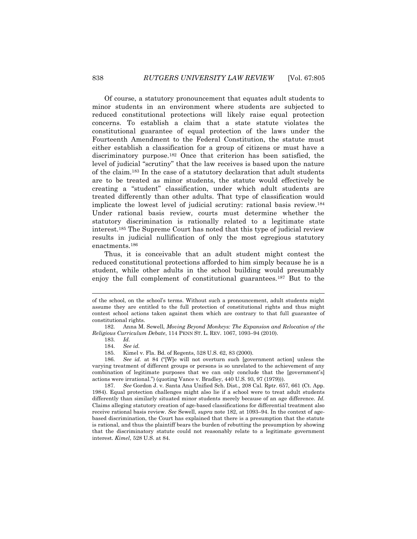Of course, a statutory pronouncement that equates adult students to minor students in an environment where students are subjected to reduced constitutional protections will likely raise equal protection concerns. To establish a claim that a state statute violates the constitutional guarantee of equal protection of the laws under the Fourteenth Amendment to the Federal Constitution, the statute must either establish a classification for a group of citizens or must have a discriminatory purpose.<sup>182</sup> Once that criterion has been satisfied, the level of judicial "scrutiny" that the law receives is based upon the nature of the claim.<sup>183</sup> In the case of a statutory declaration that adult students are to be treated as minor students, the statute would effectively be creating a "student" classification, under which adult students are treated differently than other adults. That type of classification would implicate the lowest level of judicial scrutiny: rational basis review.<sup>184</sup> Under rational basis review, courts must determine whether the statutory discrimination is rationally related to a legitimate state interest.<sup>185</sup> The Supreme Court has noted that this type of judicial review results in judicial nullification of only the most egregious statutory enactments.<sup>186</sup>

Thus, it is conceivable that an adult student might contest the reduced constitutional protections afforded to him simply because he is a student, while other adults in the school building would presumably enjoy the full complement of constitutional guarantees.<sup>187</sup> But to the

l

187. *See* Gordon J. v. Santa Ana Unified Sch. Dist., 208 Cal. Rptr. 657, 661 (Ct. App. 1984). Equal protection challenges might also lie if a school were to treat adult students differently than similarly situated minor students merely because of an age difference. *Id.* Claims alleging statutory creation of age-based classifications for differential treatment also receive rational basis review. *See* Sewell, *supra* note 182, at 1093–94. In the context of agebased discrimination, the Court has explained that there is a presumption that the statute is rational, and thus the plaintiff bears the burden of rebutting the presumption by showing that the discriminatory statute could not reasonably relate to a legitimate government interest. *Kimel*, 528 U.S. at 84.

of the school, on the school's terms. Without such a pronouncement, adult students might assume they are entitled to the full protection of constitutional rights and thus might contest school actions taken against them which are contrary to that full guarantee of constitutional rights.

<sup>182.</sup> Anna M. Sewell, *Moving Beyond Monkeys: The Expansion and Relocation of the Religious Curriculum Debate*, 114 PENN ST. L. REV. 1067, 1093–94 (2010).

<sup>183.</sup> *Id.*

<sup>184.</sup> *See id.*

<sup>185.</sup> Kimel v. Fla. Bd. of Regents, 528 U.S. 62, 83 (2000).

<sup>186.</sup> *See id.* at 84 ("[W]e will not overturn such [government action] unless the varying treatment of different groups or persons is so unrelated to the achievement of any combination of legitimate purposes that we can only conclude that the [government's] actions were irrational.") (quoting Vance v. Bradley, 440 U.S. 93, 97 (1979))).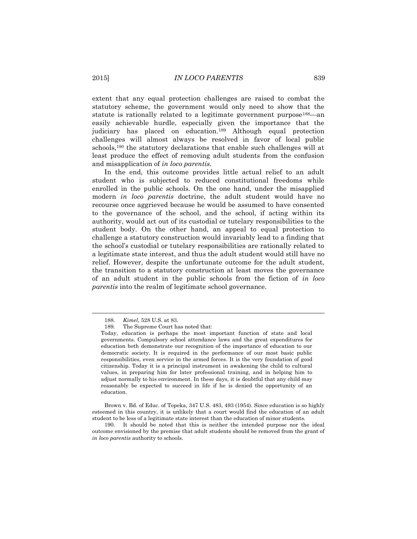extent that any equal protection challenges are raised to combat the statutory scheme, the government would only need to show that the statute is rationally related to a legitimate government purpose<sup>188</sup>—an easily achievable hurdle, especially given the importance that the judiciary has placed on education.<sup>189</sup> Although equal protection challenges will almost always be resolved in favor of local public schools,<sup>190</sup> the statutory declarations that enable such challenges will at least produce the effect of removing adult students from the confusion and misapplication of *in loco parentis*.

In the end, this outcome provides little actual relief to an adult student who is subjected to reduced constitutional freedoms while enrolled in the public schools. On the one hand, under the misapplied modern *in loco parentis* doctrine, the adult student would have no recourse once aggrieved because he would be assumed to have consented to the governance of the school, and the school, if acting within its authority, would act out of its custodial or tutelary responsibilities to the student body. On the other hand, an appeal to equal protection to challenge a statutory construction would invariably lead to a finding that the school's custodial or tutelary responsibilities are rationally related to a legitimate state interest, and thus the adult student would still have no relief. However, despite the unfortunate outcome for the adult student, the transition to a statutory construction at least moves the governance of an adult student in the public schools from the fiction of *in loco parentis* into the realm of legitimate school governance.

l

Brown v. Bd. of Educ. of Topeka, 347 U.S. 483, 493 (1954). Since education is so highly esteemed in this country, it is unlikely that a court would find the education of an adult student to be less of a legitimate state interest than the education of minor students.

190. It should be noted that this is neither the intended purpose nor the ideal outcome envisioned by the premise that adult students should be removed from the grant of *in loco parentis* authority to schools.

<sup>188.</sup> *Kimel*, 528 U.S. at 83.

<sup>189.</sup> The Supreme Court has noted that:

Today, education is perhaps the most important function of state and local governments. Compulsory school attendance laws and the great expenditures for education both demonstrate our recognition of the importance of education to our democratic society. It is required in the performance of our most basic public responsibilities, even service in the armed forces. It is the very foundation of good citizenship. Today it is a principal instrument in awakening the child to cultural values, in preparing him for later professional training, and in helping him to adjust normally to his environment. In these days, it is doubtful that any child may reasonably be expected to succeed in life if he is denied the opportunity of an education.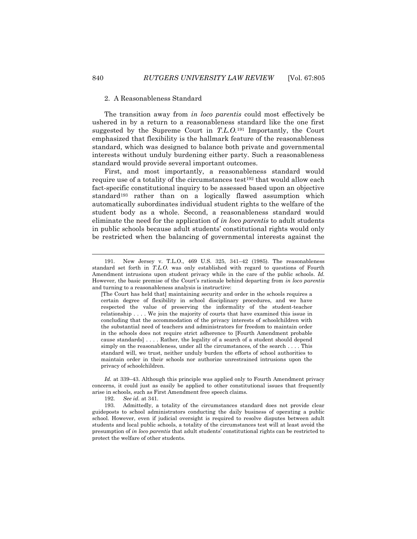### 2. A Reasonableness Standard

The transition away from *in loco parentis* could most effectively be ushered in by a return to a reasonableness standard like the one first suggested by the Supreme Court in *T.L.O.*<sup>191</sup> Importantly, the Court emphasized that flexibility is the hallmark feature of the reasonableness standard, which was designed to balance both private and governmental interests without unduly burdening either party. Such a reasonableness standard would provide several important outcomes.

First, and most importantly, a reasonableness standard would require use of a totality of the circumstances test<sup>192</sup> that would allow each fact-specific constitutional inquiry to be assessed based upon an objective standard<sup>193</sup> rather than on a logically flawed assumption which automatically subordinates individual student rights to the welfare of the student body as a whole. Second, a reasonableness standard would eliminate the need for the application of *in loco parentis* to adult students in public schools because adult students' constitutional rights would only be restricted when the balancing of governmental interests against the

*Id.* at 339–43. Although this principle was applied only to Fourth Amendment privacy concerns, it could just as easily be applied to other constitutional issues that frequently arise in schools, such as First Amendment free speech claims.

192. *See id.* at 341.

<sup>191.</sup> New Jersey v. T.L.O., 469 U.S. 325, 341–42 (1985). The reasonableness standard set forth in *T.L.O.* was only established with regard to questions of Fourth Amendment intrusions upon student privacy while in the care of the public schools. *Id.* However, the basic premise of the Court's rationale behind departing from *in loco parentis* and turning to a reasonableness analysis is instructive:

<sup>[</sup>The Court has held that] maintaining security and order in the schools requires a certain degree of flexibility in school disciplinary procedures, and we have respected the value of preserving the informality of the student-teacher relationship . . . . We join the majority of courts that have examined this issue in concluding that the accommodation of the privacy interests of schoolchildren with the substantial need of teachers and administrators for freedom to maintain order in the schools does not require strict adherence to [Fourth Amendment probable cause standards] . . . . Rather, the legality of a search of a student should depend simply on the reasonableness, under all the circumstances, of the search . . . . This standard will, we trust, neither unduly burden the efforts of school authorities to maintain order in their schools nor authorize unrestrained intrusions upon the privacy of schoolchildren.

<sup>193.</sup> Admittedly, a totality of the circumstances standard does not provide clear guideposts to school administrators conducting the daily business of operating a public school. However, even if judicial oversight is required to resolve disputes between adult students and local public schools, a totality of the circumstances test will at least avoid the presumption of *in loco parentis* that adult students' constitutional rights can be restricted to protect the welfare of other students.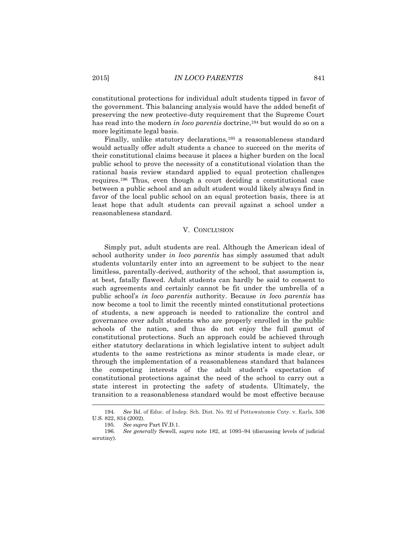constitutional protections for individual adult students tipped in favor of the government. This balancing analysis would have the added benefit of preserving the new protective-duty requirement that the Supreme Court has read into the modern *in loco parentis* doctrine,<sup>194</sup> but would do so on a more legitimate legal basis.

Finally, unlike statutory declarations,<sup>195</sup> a reasonableness standard would actually offer adult students a chance to succeed on the merits of their constitutional claims because it places a higher burden on the local public school to prove the necessity of a constitutional violation than the rational basis review standard applied to equal protection challenges requires.<sup>196</sup> Thus, even though a court deciding a constitutional case between a public school and an adult student would likely always find in favor of the local public school on an equal protection basis, there is at least hope that adult students can prevail against a school under a reasonableness standard.

#### V. CONCLUSION

Simply put, adult students are real. Although the American ideal of school authority under *in loco parentis* has simply assumed that adult students voluntarily enter into an agreement to be subject to the near limitless, parentally-derived, authority of the school, that assumption is, at best, fatally flawed. Adult students can hardly be said to consent to such agreements and certainly cannot be fit under the umbrella of a public school's *in loco parentis* authority. Because *in loco parentis* has now become a tool to limit the recently minted constitutional protections of students, a new approach is needed to rationalize the control and governance over adult students who are properly enrolled in the public schools of the nation, and thus do not enjoy the full gamut of constitutional protections. Such an approach could be achieved through either statutory declarations in which legislative intent to subject adult students to the same restrictions as minor students is made clear, or through the implementation of a reasonableness standard that balances the competing interests of the adult student's expectation of constitutional protections against the need of the school to carry out a state interest in protecting the safety of students. Ultimately, the transition to a reasonableness standard would be most effective because

<sup>194</sup>*. See* Bd. of Educ. of Indep. Sch. Dist. No. 92 of Pottawatomie Cnty. v. Earls, 536 U.S. 822, 834 (2002).

<sup>195.</sup> *See supra* Part IV.D.1.

<sup>196.</sup> *See generally* Sewell, *supra* note 182, at 1093–94 (discussing levels of judicial scrutiny).